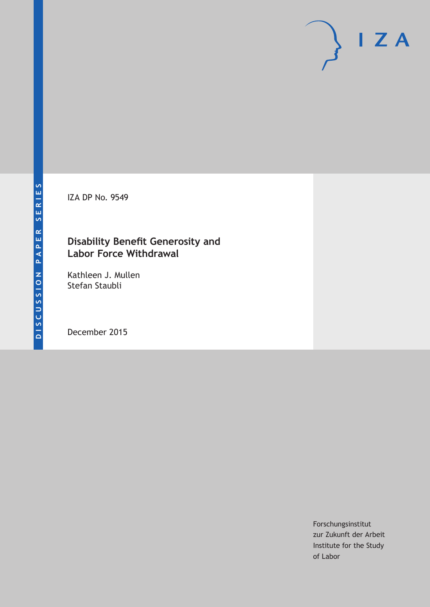IZA DP No. 9549

### **Disability Benefit Generosity and Labor Force Withdrawal**

Kathleen J. Mullen Stefan Staubli

December 2015

Forschungsinstitut zur Zukunft der Arbeit Institute for the Study of Labor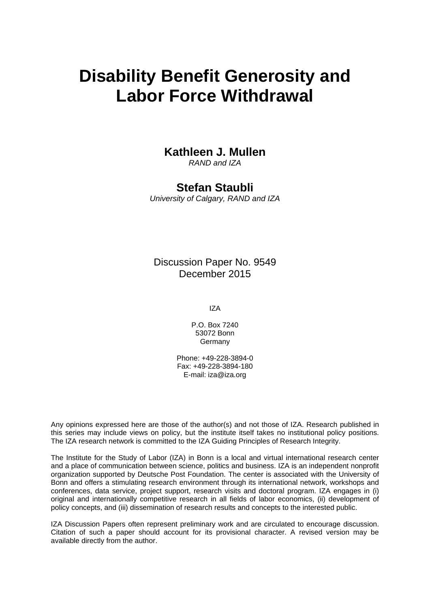# **Disability Benefit Generosity and Labor Force Withdrawal**

### **Kathleen J. Mullen**

*RAND and IZA* 

### **Stefan Staubli**

*University of Calgary, RAND and IZA* 

Discussion Paper No. 9549 December 2015

IZA

P.O. Box 7240 53072 Bonn Germany

Phone: +49-228-3894-0 Fax: +49-228-3894-180 E-mail: iza@iza.org

Any opinions expressed here are those of the author(s) and not those of IZA. Research published in this series may include views on policy, but the institute itself takes no institutional policy positions. The IZA research network is committed to the IZA Guiding Principles of Research Integrity.

The Institute for the Study of Labor (IZA) in Bonn is a local and virtual international research center and a place of communication between science, politics and business. IZA is an independent nonprofit organization supported by Deutsche Post Foundation. The center is associated with the University of Bonn and offers a stimulating research environment through its international network, workshops and conferences, data service, project support, research visits and doctoral program. IZA engages in (i) original and internationally competitive research in all fields of labor economics, (ii) development of policy concepts, and (iii) dissemination of research results and concepts to the interested public.

IZA Discussion Papers often represent preliminary work and are circulated to encourage discussion. Citation of such a paper should account for its provisional character. A revised version may be available directly from the author.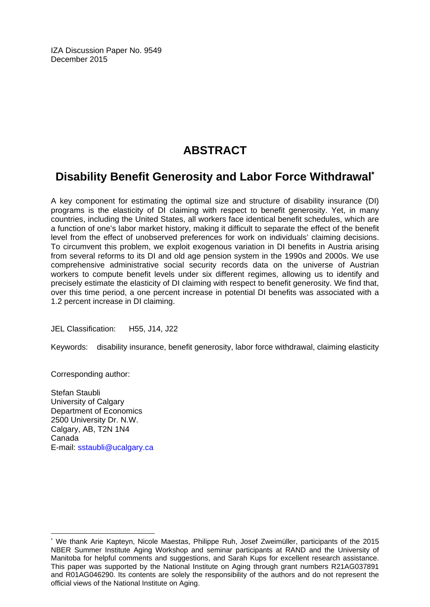IZA Discussion Paper No. 9549 December 2015

# **ABSTRACT**

## **Disability Benefit Generosity and Labor Force Withdrawal\***

A key component for estimating the optimal size and structure of disability insurance (DI) programs is the elasticity of DI claiming with respect to benefit generosity. Yet, in many countries, including the United States, all workers face identical benefit schedules, which are a function of one's labor market history, making it difficult to separate the effect of the benefit level from the effect of unobserved preferences for work on individuals' claiming decisions. To circumvent this problem, we exploit exogenous variation in DI benefits in Austria arising from several reforms to its DI and old age pension system in the 1990s and 2000s. We use comprehensive administrative social security records data on the universe of Austrian workers to compute benefit levels under six different regimes, allowing us to identify and precisely estimate the elasticity of DI claiming with respect to benefit generosity. We find that, over this time period, a one percent increase in potential DI benefits was associated with a 1.2 percent increase in DI claiming.

JEL Classification: H55, J14, J22

Keywords: disability insurance, benefit generosity, labor force withdrawal, claiming elasticity

Corresponding author:

 $\overline{\phantom{a}}$ 

Stefan Staubli University of Calgary Department of Economics 2500 University Dr. N.W. Calgary, AB, T2N 1N4 Canada E-mail: sstaubli@ucalgary.ca

<sup>\*</sup> We thank Arie Kapteyn, Nicole Maestas, Philippe Ruh, Josef Zweimüller, participants of the 2015 NBER Summer Institute Aging Workshop and seminar participants at RAND and the University of Manitoba for helpful comments and suggestions, and Sarah Kups for excellent research assistance. This paper was supported by the National Institute on Aging through grant numbers R21AG037891 and R01AG046290. Its contents are solely the responsibility of the authors and do not represent the official views of the National Institute on Aging.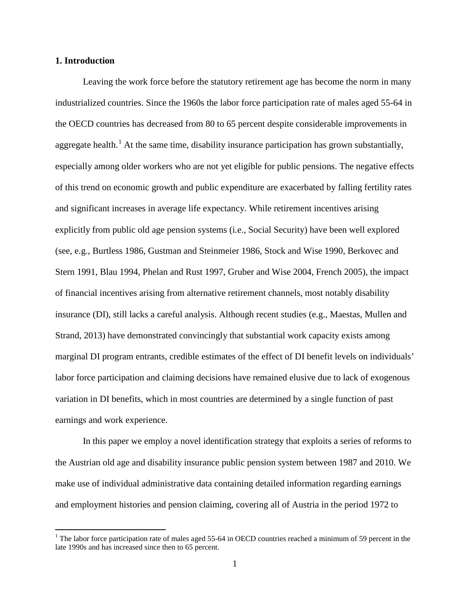#### **1. Introduction**

Leaving the work force before the statutory retirement age has become the norm in many industrialized countries. Since the 1960s the labor force participation rate of males aged 55-64 in the OECD countries has decreased from 80 to 65 percent despite considerable improvements in aggregate health.<sup>[1](#page-3-0)</sup> At the same time, disability insurance participation has grown substantially, especially among older workers who are not yet eligible for public pensions. The negative effects of this trend on economic growth and public expenditure are exacerbated by falling fertility rates and significant increases in average life expectancy. While retirement incentives arising explicitly from public old age pension systems (i.e., Social Security) have been well explored (see, e.g., Burtless 1986, Gustman and Steinmeier 1986, Stock and Wise 1990, Berkovec and Stern 1991, Blau 1994, Phelan and Rust 1997, Gruber and Wise 2004, French 2005), the impact of financial incentives arising from alternative retirement channels, most notably disability insurance (DI), still lacks a careful analysis. Although recent studies (e.g., Maestas, Mullen and Strand, 2013) have demonstrated convincingly that substantial work capacity exists among marginal DI program entrants, credible estimates of the effect of DI benefit levels on individuals' labor force participation and claiming decisions have remained elusive due to lack of exogenous variation in DI benefits, which in most countries are determined by a single function of past earnings and work experience.

In this paper we employ a novel identification strategy that exploits a series of reforms to the Austrian old age and disability insurance public pension system between 1987 and 2010. We make use of individual administrative data containing detailed information regarding earnings and employment histories and pension claiming, covering all of Austria in the period 1972 to

<span id="page-3-0"></span><sup>&</sup>lt;sup>1</sup> The labor force participation rate of males aged 55-64 in OECD countries reached a minimum of 59 percent in the late 1990s and has increased since then to 65 percent.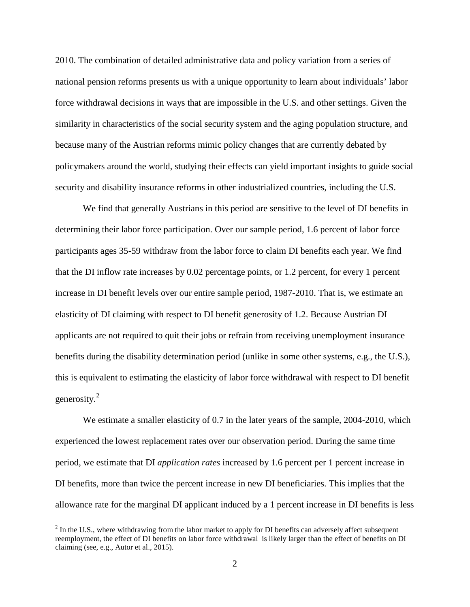2010. The combination of detailed administrative data and policy variation from a series of national pension reforms presents us with a unique opportunity to learn about individuals' labor force withdrawal decisions in ways that are impossible in the U.S. and other settings. Given the similarity in characteristics of the social security system and the aging population structure, and because many of the Austrian reforms mimic policy changes that are currently debated by policymakers around the world, studying their effects can yield important insights to guide social security and disability insurance reforms in other industrialized countries, including the U.S.

We find that generally Austrians in this period are sensitive to the level of DI benefits in determining their labor force participation. Over our sample period, 1.6 percent of labor force participants ages 35-59 withdraw from the labor force to claim DI benefits each year. We find that the DI inflow rate increases by 0.02 percentage points, or 1.2 percent, for every 1 percent increase in DI benefit levels over our entire sample period, 1987-2010. That is, we estimate an elasticity of DI claiming with respect to DI benefit generosity of 1.2. Because Austrian DI applicants are not required to quit their jobs or refrain from receiving unemployment insurance benefits during the disability determination period (unlike in some other systems, e.g., the U.S.), this is equivalent to estimating the elasticity of labor force withdrawal with respect to DI benefit generosity.[2](#page-4-0)

We estimate a smaller elasticity of 0.7 in the later years of the sample, 2004-2010, which experienced the lowest replacement rates over our observation period. During the same time period, we estimate that DI *application rates* increased by 1.6 percent per 1 percent increase in DI benefits, more than twice the percent increase in new DI beneficiaries. This implies that the allowance rate for the marginal DI applicant induced by a 1 percent increase in DI benefits is less

<span id="page-4-0"></span> $2$  In the U.S., where withdrawing from the labor market to apply for DI benefits can adversely affect subsequent reemployment, the effect of DI benefits on labor force withdrawal is likely larger than the effect of benefits on DI claiming (see, e.g., Autor et al., 2015).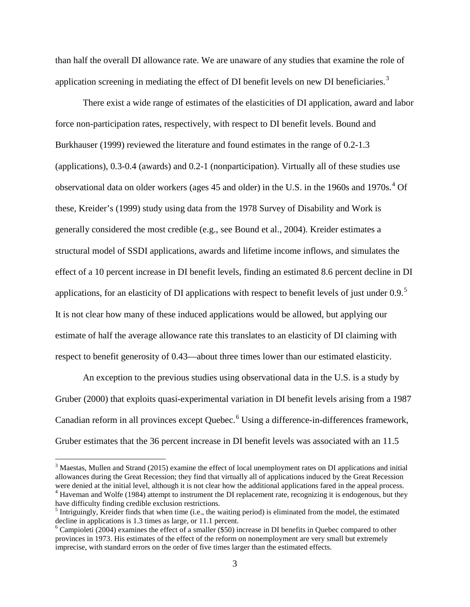than half the overall DI allowance rate. We are unaware of any studies that examine the role of application screening in mediating the effect of DI benefit levels on new DI beneficiaries.<sup>[3](#page-5-0)</sup>

There exist a wide range of estimates of the elasticities of DI application, award and labor force non-participation rates, respectively, with respect to DI benefit levels. Bound and Burkhauser (1999) reviewed the literature and found estimates in the range of 0.2-1.3 (applications), 0.3-0.4 (awards) and 0.2-1 (nonparticipation). Virtually all of these studies use observational data on older workers (ages [4](#page-5-1)5 and older) in the U.S. in the 1960s and 1970s.<sup>4</sup> Of these, Kreider's (1999) study using data from the 1978 Survey of Disability and Work is generally considered the most credible (e.g., see Bound et al., 2004). Kreider estimates a structural model of SSDI applications, awards and lifetime income inflows, and simulates the effect of a 10 percent increase in DI benefit levels, finding an estimated 8.6 percent decline in DI applications, for an elasticity of DI applications with respect to benefit levels of just under  $0.9$ .<sup>[5](#page-5-2)</sup> It is not clear how many of these induced applications would be allowed, but applying our estimate of half the average allowance rate this translates to an elasticity of DI claiming with respect to benefit generosity of 0.43—about three times lower than our estimated elasticity.

An exception to the previous studies using observational data in the U.S. is a study by Gruber (2000) that exploits quasi-experimental variation in DI benefit levels arising from a 1987 Canadian reform in all provinces except Quebec.<sup>[6](#page-5-3)</sup> Using a difference-in-differences framework, Gruber estimates that the 36 percent increase in DI benefit levels was associated with an 11.5

<span id="page-5-0"></span> $3$  Maestas, Mullen and Strand (2015) examine the effect of local unemployment rates on DI applications and initial allowances during the Great Recession; they find that virtually all of applications induced by the Great Recession were denied at the initial level, although it is not clear how the additional applications fared in the app  $4$  Haveman and Wolfe (1984) attempt to instrument the DI replacement rate, recognizing it is endogenous, but they

<span id="page-5-2"></span><span id="page-5-1"></span>have difficulty finding credible exclusion restrictions.<br><sup>5</sup> Intriguingly, Kreider finds that when time (i.e., the waiting period) is eliminated from the model, the estimated decline in applications is 1.3 times as large, or 11.1 percent.

<span id="page-5-3"></span> $6$  Campioleti (2004) examines the effect of a smaller (\$50) increase in DI benefits in Quebec compared to other provinces in 1973. His estimates of the effect of the reform on nonemployment are very small but extremely imprecise, with standard errors on the order of five times larger than the estimated effects.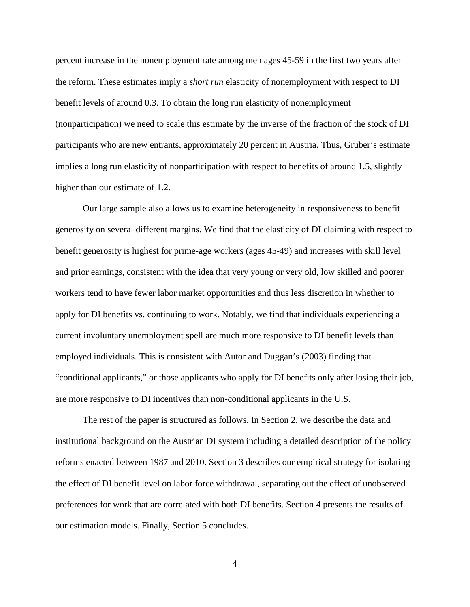percent increase in the nonemployment rate among men ages 45-59 in the first two years after the reform. These estimates imply a *short run* elasticity of nonemployment with respect to DI benefit levels of around 0.3. To obtain the long run elasticity of nonemployment (nonparticipation) we need to scale this estimate by the inverse of the fraction of the stock of DI participants who are new entrants, approximately 20 percent in Austria. Thus, Gruber's estimate implies a long run elasticity of nonparticipation with respect to benefits of around 1.5, slightly higher than our estimate of 1.2.

Our large sample also allows us to examine heterogeneity in responsiveness to benefit generosity on several different margins. We find that the elasticity of DI claiming with respect to benefit generosity is highest for prime-age workers (ages 45-49) and increases with skill level and prior earnings, consistent with the idea that very young or very old, low skilled and poorer workers tend to have fewer labor market opportunities and thus less discretion in whether to apply for DI benefits vs. continuing to work. Notably, we find that individuals experiencing a current involuntary unemployment spell are much more responsive to DI benefit levels than employed individuals. This is consistent with Autor and Duggan's (2003) finding that "conditional applicants," or those applicants who apply for DI benefits only after losing their job, are more responsive to DI incentives than non-conditional applicants in the U.S.

The rest of the paper is structured as follows. In Section 2, we describe the data and institutional background on the Austrian DI system including a detailed description of the policy reforms enacted between 1987 and 2010. Section 3 describes our empirical strategy for isolating the effect of DI benefit level on labor force withdrawal, separating out the effect of unobserved preferences for work that are correlated with both DI benefits. Section 4 presents the results of our estimation models. Finally, Section 5 concludes.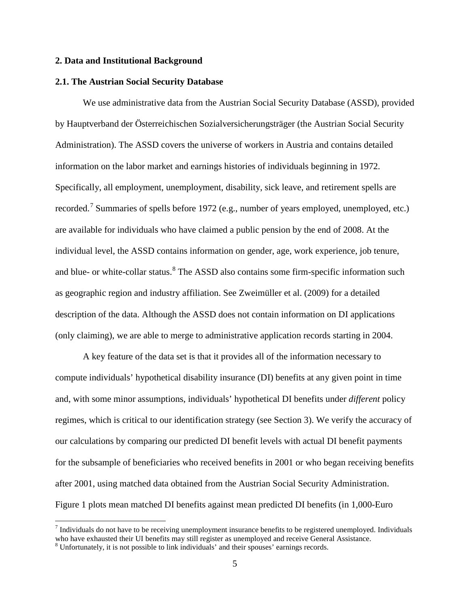#### **2. Data and Institutional Background**

#### **2.1. The Austrian Social Security Database**

We use administrative data from the Austrian Social Security Database (ASSD), provided by Hauptverband der Österreichischen Sozialversicherungsträger (the Austrian Social Security Administration). The ASSD covers the universe of workers in Austria and contains detailed information on the labor market and earnings histories of individuals beginning in 1972. Specifically, all employment, unemployment, disability, sick leave, and retirement spells are recorded.<sup>[7](#page-7-0)</sup> Summaries of spells before 1972 (e.g., number of years employed, unemployed, etc.) are available for individuals who have claimed a public pension by the end of 2008. At the individual level, the ASSD contains information on gender, age, work experience, job tenure, and blue- or white-collar status.<sup>[8](#page-7-1)</sup> The ASSD also contains some firm-specific information such as geographic region and industry affiliation. See Zweimüller et al. (2009) for a detailed description of the data. Although the ASSD does not contain information on DI applications (only claiming), we are able to merge to administrative application records starting in 2004.

A key feature of the data set is that it provides all of the information necessary to compute individuals' hypothetical disability insurance (DI) benefits at any given point in time and, with some minor assumptions, individuals' hypothetical DI benefits under *different* policy regimes, which is critical to our identification strategy (see Section 3). We verify the accuracy of our calculations by comparing our predicted DI benefit levels with actual DI benefit payments for the subsample of beneficiaries who received benefits in 2001 or who began receiving benefits after 2001, using matched data obtained from the Austrian Social Security Administration. Figure 1 plots mean matched DI benefits against mean predicted DI benefits (in 1,000-Euro

<span id="page-7-0"></span> $<sup>7</sup>$  Individuals do not have to be receiving unemployment insurance benefits to be registered unemployed. Individuals</sup> who have exhausted their UI benefits may still register as unemployed and receive General Assistance.

<span id="page-7-1"></span><sup>8</sup> Unfortunately, it is not possible to link individuals' and their spouses' earnings records.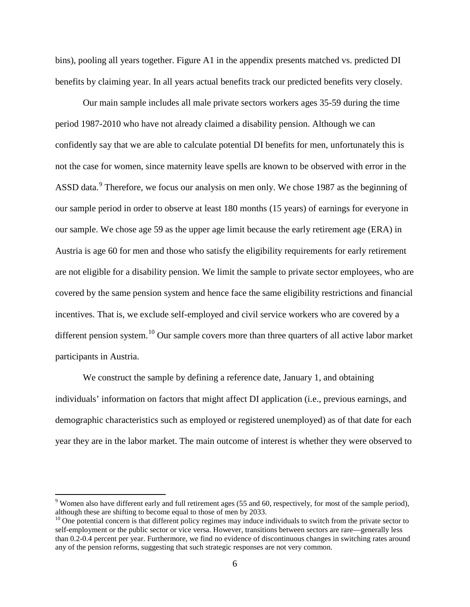bins), pooling all years together. Figure A1 in the appendix presents matched vs. predicted DI benefits by claiming year. In all years actual benefits track our predicted benefits very closely.

Our main sample includes all male private sectors workers ages 35-59 during the time period 1987-2010 who have not already claimed a disability pension. Although we can confidently say that we are able to calculate potential DI benefits for men, unfortunately this is not the case for women, since maternity leave spells are known to be observed with error in the ASSD data.<sup>[9](#page-8-0)</sup> Therefore, we focus our analysis on men only. We chose 1987 as the beginning of our sample period in order to observe at least 180 months (15 years) of earnings for everyone in our sample. We chose age 59 as the upper age limit because the early retirement age (ERA) in Austria is age 60 for men and those who satisfy the eligibility requirements for early retirement are not eligible for a disability pension. We limit the sample to private sector employees, who are covered by the same pension system and hence face the same eligibility restrictions and financial incentives. That is, we exclude self-employed and civil service workers who are covered by a different pension system.<sup>[10](#page-8-1)</sup> Our sample covers more than three quarters of all active labor market participants in Austria.

We construct the sample by defining a reference date, January 1, and obtaining individuals' information on factors that might affect DI application (i.e., previous earnings, and demographic characteristics such as employed or registered unemployed) as of that date for each year they are in the labor market. The main outcome of interest is whether they were observed to

<span id="page-8-0"></span> $9$  Women also have different early and full retirement ages (55 and 60, respectively, for most of the sample period), although these are shifting to become equal to those of men by 2033.

<span id="page-8-1"></span> $10$  One potential concern is that different policy regimes may induce individuals to switch from the private sector to self-employment or the public sector or vice versa. However, transitions between sectors are rare—generally less than 0.2-0.4 percent per year. Furthermore, we find no evidence of discontinuous changes in switching rates around any of the pension reforms, suggesting that such strategic responses are not very common.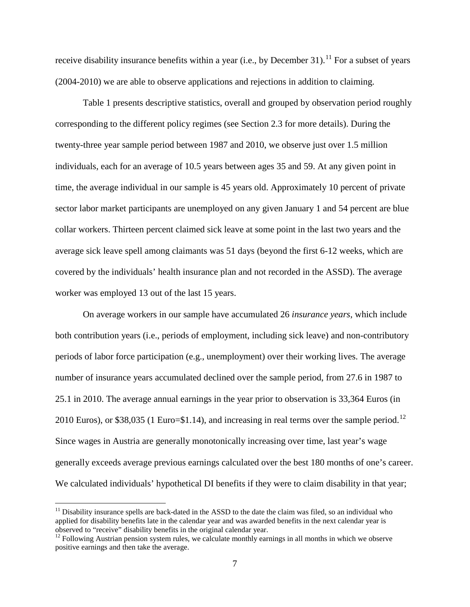receive disability insurance benefits within a year (i.e., by December 31).<sup>[11](#page-9-0)</sup> For a subset of years (2004-2010) we are able to observe applications and rejections in addition to claiming.

Table 1 presents descriptive statistics, overall and grouped by observation period roughly corresponding to the different policy regimes (see Section 2.3 for more details). During the twenty-three year sample period between 1987 and 2010, we observe just over 1.5 million individuals, each for an average of 10.5 years between ages 35 and 59. At any given point in time, the average individual in our sample is 45 years old. Approximately 10 percent of private sector labor market participants are unemployed on any given January 1 and 54 percent are blue collar workers. Thirteen percent claimed sick leave at some point in the last two years and the average sick leave spell among claimants was 51 days (beyond the first 6-12 weeks, which are covered by the individuals' health insurance plan and not recorded in the ASSD). The average worker was employed 13 out of the last 15 years.

On average workers in our sample have accumulated 26 *insurance years*, which include both contribution years (i.e., periods of employment, including sick leave) and non-contributory periods of labor force participation (e.g., unemployment) over their working lives. The average number of insurance years accumulated declined over the sample period, from 27.6 in 1987 to 25.1 in 2010. The average annual earnings in the year prior to observation is 33,364 Euros (in 2010 Euros), or \$38,035 (1 Euro=\$1.14), and increasing in real terms over the sample period.<sup>[12](#page-9-1)</sup> Since wages in Austria are generally monotonically increasing over time, last year's wage generally exceeds average previous earnings calculated over the best 180 months of one's career. We calculated individuals' hypothetical DI benefits if they were to claim disability in that year;

<span id="page-9-0"></span> $11$  Disability insurance spells are back-dated in the ASSD to the date the claim was filed, so an individual who applied for disability benefits late in the calendar year and was awarded benefits in the next calendar year is observed to "receive" disability benefits in the original calendar year.

<span id="page-9-1"></span> $12$  Following Austrian pension system rules, we calculate monthly earnings in all months in which we observe positive earnings and then take the average.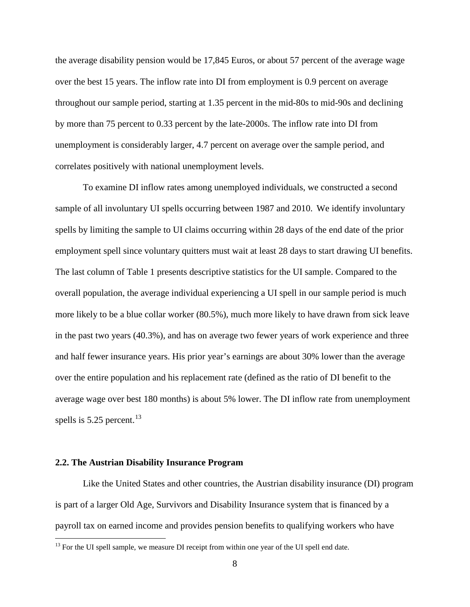the average disability pension would be 17,845 Euros, or about 57 percent of the average wage over the best 15 years. The inflow rate into DI from employment is 0.9 percent on average throughout our sample period, starting at 1.35 percent in the mid-80s to mid-90s and declining by more than 75 percent to 0.33 percent by the late-2000s. The inflow rate into DI from unemployment is considerably larger, 4.7 percent on average over the sample period, and correlates positively with national unemployment levels.

To examine DI inflow rates among unemployed individuals, we constructed a second sample of all involuntary UI spells occurring between 1987 and 2010. We identify involuntary spells by limiting the sample to UI claims occurring within 28 days of the end date of the prior employment spell since voluntary quitters must wait at least 28 days to start drawing UI benefits. The last column of Table 1 presents descriptive statistics for the UI sample. Compared to the overall population, the average individual experiencing a UI spell in our sample period is much more likely to be a blue collar worker (80.5%), much more likely to have drawn from sick leave in the past two years (40.3%), and has on average two fewer years of work experience and three and half fewer insurance years. His prior year's earnings are about 30% lower than the average over the entire population and his replacement rate (defined as the ratio of DI benefit to the average wage over best 180 months) is about 5% lower. The DI inflow rate from unemployment spells is  $5.25$  percent.<sup>[13](#page-10-0)</sup>

#### **2.2. The Austrian Disability Insurance Program**

Like the United States and other countries, the Austrian disability insurance (DI) program is part of a larger Old Age, Survivors and Disability Insurance system that is financed by a payroll tax on earned income and provides pension benefits to qualifying workers who have

<span id="page-10-0"></span> $13$  For the UI spell sample, we measure DI receipt from within one year of the UI spell end date.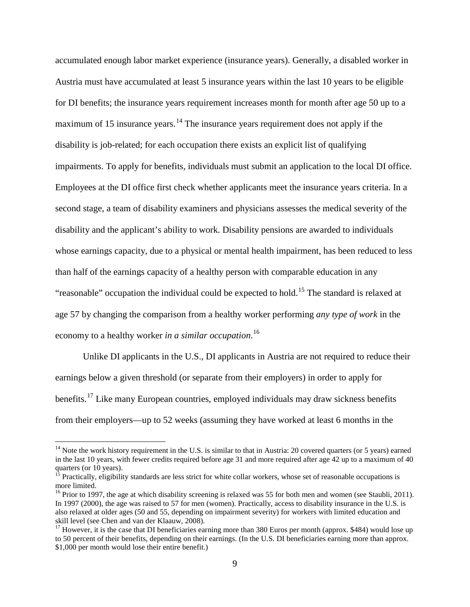accumulated enough labor market experience (insurance years). Generally, a disabled worker in Austria must have accumulated at least 5 insurance years within the last 10 years to be eligible for DI benefits; the insurance years requirement increases month for month after age 50 up to a maximum of 15 insurance years.<sup>[14](#page-11-0)</sup> The insurance years requirement does not apply if the disability is job-related; for each occupation there exists an explicit list of qualifying impairments. To apply for benefits, individuals must submit an application to the local DI office. Employees at the DI office first check whether applicants meet the insurance years criteria. In a second stage, a team of disability examiners and physicians assesses the medical severity of the disability and the applicant's ability to work. Disability pensions are awarded to individuals whose earnings capacity, due to a physical or mental health impairment, has been reduced to less than half of the earnings capacity of a healthy person with comparable education in any "reasonable" occupation the individual could be expected to hold.<sup>[15](#page-11-1)</sup> The standard is relaxed at age 57 by changing the comparison from a healthy worker performing *any type of work* in the economy to a healthy worker *in a similar occupation*. [16](#page-11-2)

Unlike DI applicants in the U.S., DI applicants in Austria are not required to reduce their earnings below a given threshold (or separate from their employers) in order to apply for benefits.<sup>[17](#page-11-3)</sup> Like many European countries, employed individuals may draw sickness benefits from their employers—up to 52 weeks (assuming they have worked at least 6 months in the

<span id="page-11-0"></span><sup>&</sup>lt;sup>14</sup> Note the work history requirement in the U.S. is similar to that in Austria: 20 covered quarters (or 5 years) earned in the last 10 years, with fewer credits required before age 31 and more required after age 42 up to a maximum of 40 quarters (or 10 years).

<span id="page-11-1"></span><sup>&</sup>lt;sup>15</sup> Practically, eligibility standards are less strict for white collar workers, whose set of reasonable occupations is more limited.

<span id="page-11-2"></span><sup>&</sup>lt;sup>16</sup> Prior to 1997, the age at which disability screening is relaxed was 55 for both men and women (see Staubli, 2011). In 1997 (2000), the age was raised to 57 for men (women). Practically, access to disability insurance in the U.S. is also relaxed at older ages (50 and 55, depending on impairment severity) for workers with limited education and skill level (see Chen and van der Klaauw, 2008).

<span id="page-11-3"></span><sup>&</sup>lt;sup>17</sup> However, it is the case that DI beneficiaries earning more than 380 Euros per month (approx. \$484) would lose up to 50 percent of their benefits, depending on their earnings. (In the U.S. DI beneficiaries earning more than approx. \$1,000 per month would lose their entire benefit.)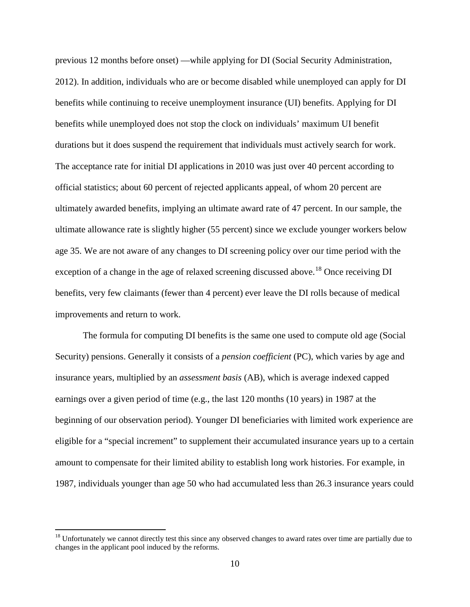previous 12 months before onset) —while applying for DI (Social Security Administration, 2012). In addition, individuals who are or become disabled while unemployed can apply for DI benefits while continuing to receive unemployment insurance (UI) benefits. Applying for DI benefits while unemployed does not stop the clock on individuals' maximum UI benefit durations but it does suspend the requirement that individuals must actively search for work. The acceptance rate for initial DI applications in 2010 was just over 40 percent according to official statistics; about 60 percent of rejected applicants appeal, of whom 20 percent are ultimately awarded benefits, implying an ultimate award rate of 47 percent. In our sample, the ultimate allowance rate is slightly higher (55 percent) since we exclude younger workers below age 35. We are not aware of any changes to DI screening policy over our time period with the exception of a change in the age of relaxed screening discussed above.<sup>[18](#page-12-0)</sup> Once receiving DI benefits, very few claimants (fewer than 4 percent) ever leave the DI rolls because of medical improvements and return to work.

The formula for computing DI benefits is the same one used to compute old age (Social Security) pensions. Generally it consists of a *pension coefficient* (PC), which varies by age and insurance years, multiplied by an *assessment basis* (AB), which is average indexed capped earnings over a given period of time (e.g., the last 120 months (10 years) in 1987 at the beginning of our observation period). Younger DI beneficiaries with limited work experience are eligible for a "special increment" to supplement their accumulated insurance years up to a certain amount to compensate for their limited ability to establish long work histories. For example, in 1987, individuals younger than age 50 who had accumulated less than 26.3 insurance years could

<span id="page-12-0"></span> $18$  Unfortunately we cannot directly test this since any observed changes to award rates over time are partially due to changes in the applicant pool induced by the reforms.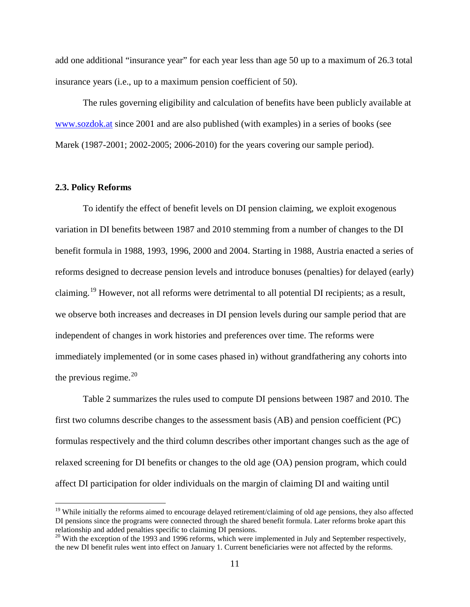add one additional "insurance year" for each year less than age 50 up to a maximum of 26.3 total insurance years (i.e., up to a maximum pension coefficient of 50).

The rules governing eligibility and calculation of benefits have been publicly available at [www.sozdok.at](http://www.sozdok.at/) since 2001 and are also published (with examples) in a series of books (see Marek (1987-2001; 2002-2005; 2006-2010) for the years covering our sample period).

#### **2.3. Policy Reforms**

To identify the effect of benefit levels on DI pension claiming, we exploit exogenous variation in DI benefits between 1987 and 2010 stemming from a number of changes to the DI benefit formula in 1988, 1993, 1996, 2000 and 2004. Starting in 1988, Austria enacted a series of reforms designed to decrease pension levels and introduce bonuses (penalties) for delayed (early) claiming.[19](#page-13-0) However, not all reforms were detrimental to all potential DI recipients; as a result, we observe both increases and decreases in DI pension levels during our sample period that are independent of changes in work histories and preferences over time. The reforms were immediately implemented (or in some cases phased in) without grandfathering any cohorts into the previous regime. $^{20}$  $^{20}$  $^{20}$ 

Table 2 summarizes the rules used to compute DI pensions between 1987 and 2010. The first two columns describe changes to the assessment basis (AB) and pension coefficient (PC) formulas respectively and the third column describes other important changes such as the age of relaxed screening for DI benefits or changes to the old age (OA) pension program, which could affect DI participation for older individuals on the margin of claiming DI and waiting until

<span id="page-13-0"></span><sup>&</sup>lt;sup>19</sup> While initially the reforms aimed to encourage delayed retirement/claiming of old age pensions, they also affected DI pensions since the programs were connected through the shared benefit formula. Later reforms broke apart this relationship and added penalties specific to claiming DI pensions.

<span id="page-13-1"></span><sup>&</sup>lt;sup>20</sup> With the exception of the 1993 and 1996 reforms, which were implemented in July and September respectively, the new DI benefit rules went into effect on January 1. Current beneficiaries were not affected by the reforms.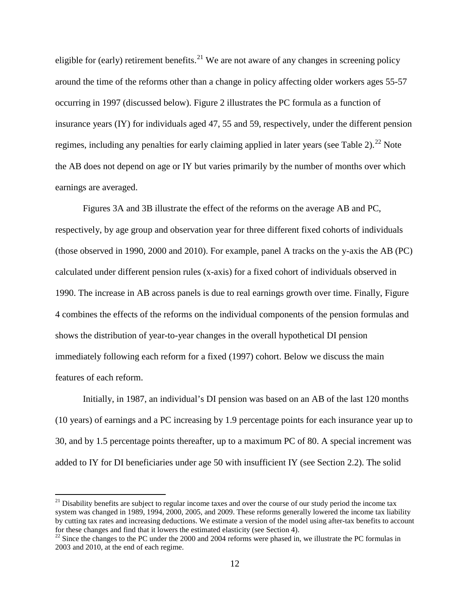eligible for (early) retirement benefits.<sup>[21](#page-14-0)</sup> We are not aware of any changes in screening policy around the time of the reforms other than a change in policy affecting older workers ages 55-57 occurring in 1997 (discussed below). Figure 2 illustrates the PC formula as a function of insurance years (IY) for individuals aged 47, 55 and 59, respectively, under the different pension regimes, including any penalties for early claiming applied in later years (see Table 2).<sup>[22](#page-14-1)</sup> Note the AB does not depend on age or IY but varies primarily by the number of months over which earnings are averaged.

Figures 3A and 3B illustrate the effect of the reforms on the average AB and PC, respectively, by age group and observation year for three different fixed cohorts of individuals (those observed in 1990, 2000 and 2010). For example, panel A tracks on the y-axis the AB (PC) calculated under different pension rules (x-axis) for a fixed cohort of individuals observed in 1990. The increase in AB across panels is due to real earnings growth over time. Finally, Figure 4 combines the effects of the reforms on the individual components of the pension formulas and shows the distribution of year-to-year changes in the overall hypothetical DI pension immediately following each reform for a fixed (1997) cohort. Below we discuss the main features of each reform.

Initially, in 1987, an individual's DI pension was based on an AB of the last 120 months (10 years) of earnings and a PC increasing by 1.9 percentage points for each insurance year up to 30, and by 1.5 percentage points thereafter, up to a maximum PC of 80. A special increment was added to IY for DI beneficiaries under age 50 with insufficient IY (see Section 2.2). The solid

<span id="page-14-0"></span> $^{21}$  Disability benefits are subject to regular income taxes and over the course of our study period the income tax system was changed in 1989, 1994, 2000, 2005, and 2009. These reforms generally lowered the income tax liability by cutting tax rates and increasing deductions. We estimate a version of the model using after-tax benefits to account for these changes and find that it lowers the estimated elasticity (see Section 4).

<span id="page-14-1"></span> $^{22}$  Since the changes to the PC under the 2000 and 2004 reforms were phased in, we illustrate the PC formulas in 2003 and 2010, at the end of each regime.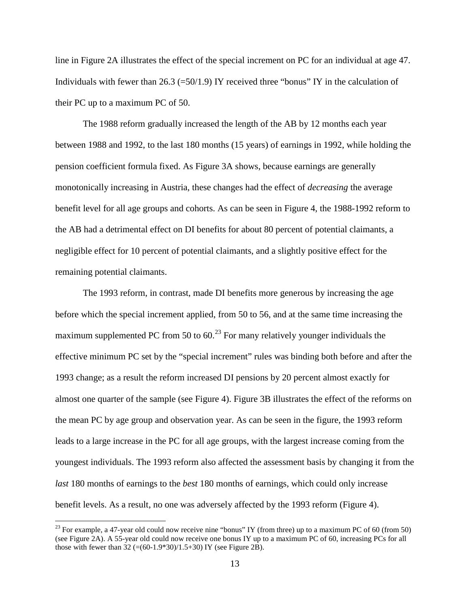line in Figure 2A illustrates the effect of the special increment on PC for an individual at age 47. Individuals with fewer than 26.3 ( $=50/1.9$ ) IY received three "bonus" IY in the calculation of their PC up to a maximum PC of 50.

The 1988 reform gradually increased the length of the AB by 12 months each year between 1988 and 1992, to the last 180 months (15 years) of earnings in 1992, while holding the pension coefficient formula fixed. As Figure 3A shows, because earnings are generally monotonically increasing in Austria, these changes had the effect of *decreasing* the average benefit level for all age groups and cohorts. As can be seen in Figure 4, the 1988-1992 reform to the AB had a detrimental effect on DI benefits for about 80 percent of potential claimants, a negligible effect for 10 percent of potential claimants, and a slightly positive effect for the remaining potential claimants.

The 1993 reform, in contrast, made DI benefits more generous by increasing the age before which the special increment applied, from 50 to 56, and at the same time increasing the maximum supplemented PC from 50 to  $60<sup>23</sup>$  $60<sup>23</sup>$  $60<sup>23</sup>$  For many relatively younger individuals the effective minimum PC set by the "special increment" rules was binding both before and after the 1993 change; as a result the reform increased DI pensions by 20 percent almost exactly for almost one quarter of the sample (see Figure 4). Figure 3B illustrates the effect of the reforms on the mean PC by age group and observation year. As can be seen in the figure, the 1993 reform leads to a large increase in the PC for all age groups, with the largest increase coming from the youngest individuals. The 1993 reform also affected the assessment basis by changing it from the *last* 180 months of earnings to the *best* 180 months of earnings, which could only increase benefit levels. As a result, no one was adversely affected by the 1993 reform (Figure 4).

<span id="page-15-0"></span><sup>&</sup>lt;sup>23</sup> For example, a 47-year old could now receive nine "bonus" IY (from three) up to a maximum PC of 60 (from 50) (see Figure 2A). A 55-year old could now receive one bonus IY up to a maximum PC of 60, increasing PCs for all those with fewer than  $32$  (=(60-1.9\*30)/1.5+30) IY (see Figure 2B).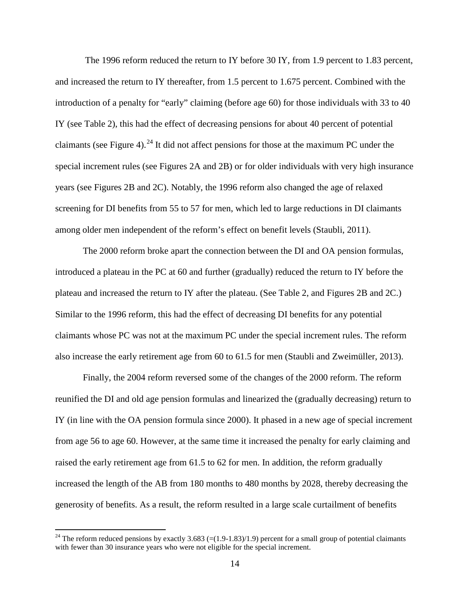The 1996 reform reduced the return to IY before 30 IY, from 1.9 percent to 1.83 percent, and increased the return to IY thereafter, from 1.5 percent to 1.675 percent. Combined with the introduction of a penalty for "early" claiming (before age 60) for those individuals with 33 to 40 IY (see Table 2), this had the effect of decreasing pensions for about 40 percent of potential claimants (see Figure 4).<sup>[24](#page-16-0)</sup> It did not affect pensions for those at the maximum PC under the special increment rules (see Figures 2A and 2B) or for older individuals with very high insurance years (see Figures 2B and 2C). Notably, the 1996 reform also changed the age of relaxed screening for DI benefits from 55 to 57 for men, which led to large reductions in DI claimants among older men independent of the reform's effect on benefit levels (Staubli, 2011).

The 2000 reform broke apart the connection between the DI and OA pension formulas, introduced a plateau in the PC at 60 and further (gradually) reduced the return to IY before the plateau and increased the return to IY after the plateau. (See Table 2, and Figures 2B and 2C.) Similar to the 1996 reform, this had the effect of decreasing DI benefits for any potential claimants whose PC was not at the maximum PC under the special increment rules. The reform also increase the early retirement age from 60 to 61.5 for men (Staubli and Zweimüller, 2013).

Finally, the 2004 reform reversed some of the changes of the 2000 reform. The reform reunified the DI and old age pension formulas and linearized the (gradually decreasing) return to IY (in line with the OA pension formula since 2000). It phased in a new age of special increment from age 56 to age 60. However, at the same time it increased the penalty for early claiming and raised the early retirement age from 61.5 to 62 for men. In addition, the reform gradually increased the length of the AB from 180 months to 480 months by 2028, thereby decreasing the generosity of benefits. As a result, the reform resulted in a large scale curtailment of benefits

<span id="page-16-0"></span><sup>&</sup>lt;sup>24</sup> The reform reduced pensions by exactly 3.683 (=(1.9-1.83)/1.9) percent for a small group of potential claimants with fewer than 30 insurance years who were not eligible for the special increment.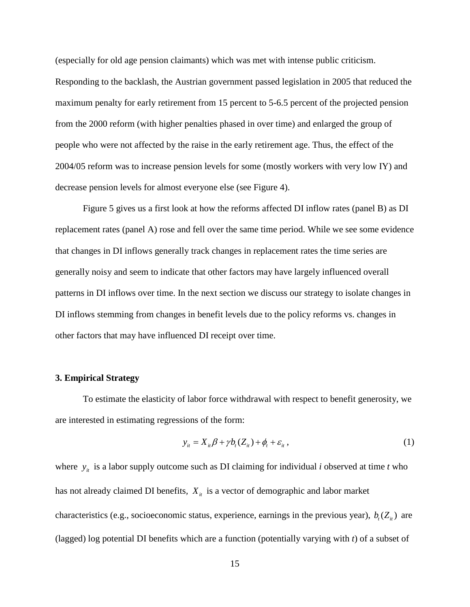(especially for old age pension claimants) which was met with intense public criticism. Responding to the backlash, the Austrian government passed legislation in 2005 that reduced the maximum penalty for early retirement from 15 percent to 5-6.5 percent of the projected pension from the 2000 reform (with higher penalties phased in over time) and enlarged the group of people who were not affected by the raise in the early retirement age. Thus, the effect of the 2004/05 reform was to increase pension levels for some (mostly workers with very low IY) and decrease pension levels for almost everyone else (see Figure 4).

Figure 5 gives us a first look at how the reforms affected DI inflow rates (panel B) as DI replacement rates (panel A) rose and fell over the same time period. While we see some evidence that changes in DI inflows generally track changes in replacement rates the time series are generally noisy and seem to indicate that other factors may have largely influenced overall patterns in DI inflows over time. In the next section we discuss our strategy to isolate changes in DI inflows stemming from changes in benefit levels due to the policy reforms vs. changes in other factors that may have influenced DI receipt over time.

#### **3. Empirical Strategy**

To estimate the elasticity of labor force withdrawal with respect to benefit generosity, we are interested in estimating regressions of the form:

$$
y_{it} = X_{it}\beta + \gamma b_t(Z_{it}) + \phi_t + \varepsilon_{it},
$$
\n(1)

where  $y_i$  is a labor supply outcome such as DI claiming for individual *i* observed at time *t* who has not already claimed DI benefits,  $X_{it}$  is a vector of demographic and labor market characteristics (e.g., socioeconomic status, experience, earnings in the previous year),  $b_t(Z_{it})$  are (lagged) log potential DI benefits which are a function (potentially varying with *t*) of a subset of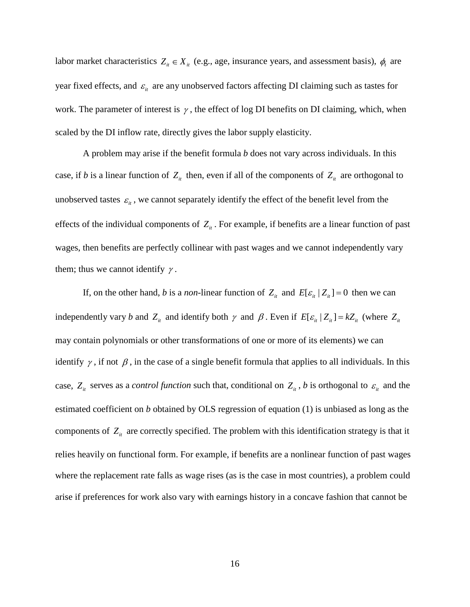labor market characteristics  $Z_{it} \in X_{it}$  (e.g., age, insurance years, and assessment basis),  $\phi_t$  are year fixed effects, and  $\varepsilon$ <sub>*it*</sub> are any unobserved factors affecting DI claiming such as tastes for work. The parameter of interest is  $\gamma$ , the effect of log DI benefits on DI claiming, which, when scaled by the DI inflow rate, directly gives the labor supply elasticity.

A problem may arise if the benefit formula *b* does not vary across individuals. In this case, if *b* is a linear function of  $Z_i$  then, even if all of the components of  $Z_i$  are orthogonal to unobserved tastes  $\varepsilon$ <sub>*i*</sub>, we cannot separately identify the effect of the benefit level from the effects of the individual components of  $Z_{it}$ . For example, if benefits are a linear function of past wages, then benefits are perfectly collinear with past wages and we cannot independently vary them; thus we cannot identify  $\gamma$ .

If, on the other hand, *b* is a *non*-linear function of  $Z_i$  and  $E[\varepsilon_i | Z_i] = 0$  then we can independently vary *b* and  $Z_i$  and identify both  $\gamma$  and  $\beta$ . Even if  $E[\varepsilon_i | Z_i] = kZ_i$  (where  $Z_i$ may contain polynomials or other transformations of one or more of its elements) we can identify  $\gamma$ , if not  $\beta$ , in the case of a single benefit formula that applies to all individuals. In this case,  $Z_i$  serves as a *control function* such that, conditional on  $Z_i$ , *b* is orthogonal to  $\varepsilon_i$  and the estimated coefficient on *b* obtained by OLS regression of equation (1) is unbiased as long as the components of  $Z_{it}$  are correctly specified. The problem with this identification strategy is that it relies heavily on functional form. For example, if benefits are a nonlinear function of past wages where the replacement rate falls as wage rises (as is the case in most countries), a problem could arise if preferences for work also vary with earnings history in a concave fashion that cannot be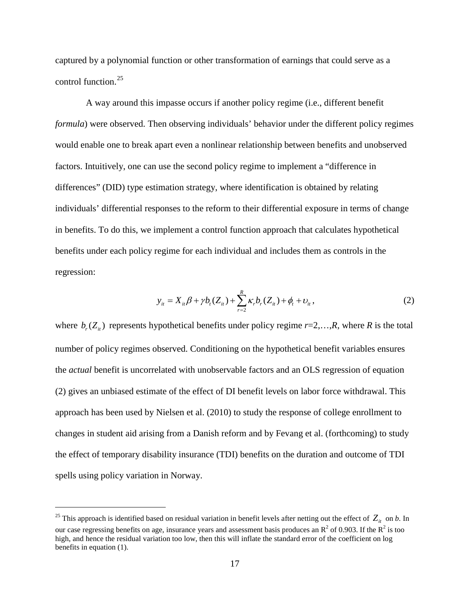captured by a polynomial function or other transformation of earnings that could serve as a control function.[25](#page-19-0)

A way around this impasse occurs if another policy regime (i.e., different benefit *formula*) were observed. Then observing individuals' behavior under the different policy regimes would enable one to break apart even a nonlinear relationship between benefits and unobserved factors. Intuitively, one can use the second policy regime to implement a "difference in differences" (DID) type estimation strategy, where identification is obtained by relating individuals' differential responses to the reform to their differential exposure in terms of change in benefits. To do this, we implement a control function approach that calculates hypothetical benefits under each policy regime for each individual and includes them as controls in the regression:

$$
y_{it} = X_{it}\beta + \gamma b_t(Z_{it}) + \sum_{r=2}^{R} \kappa_r b_r(Z_{it}) + \phi_t + \upsilon_{it},
$$
\n(2)

where  $b(x)$  represents hypothetical benefits under policy regime  $r=2,...,R$ , where *R* is the total number of policy regimes observed. Conditioning on the hypothetical benefit variables ensures the *actual* benefit is uncorrelated with unobservable factors and an OLS regression of equation (2) gives an unbiased estimate of the effect of DI benefit levels on labor force withdrawal. This approach has been used by Nielsen et al. (2010) to study the response of college enrollment to changes in student aid arising from a Danish reform and by Fevang et al. (forthcoming) to study the effect of temporary disability insurance (TDI) benefits on the duration and outcome of TDI spells using policy variation in Norway.

<span id="page-19-0"></span><sup>&</sup>lt;sup>25</sup> This approach is identified based on residual variation in benefit levels after netting out the effect of  $Z_{it}$  on *b*. In our case regressing benefits on age, insurance years and assessment basis produces an  $R^2$  of 0.903. If the  $R^2$  is too high, and hence the residual variation too low, then this will inflate the standard error of the coefficient on log benefits in equation (1).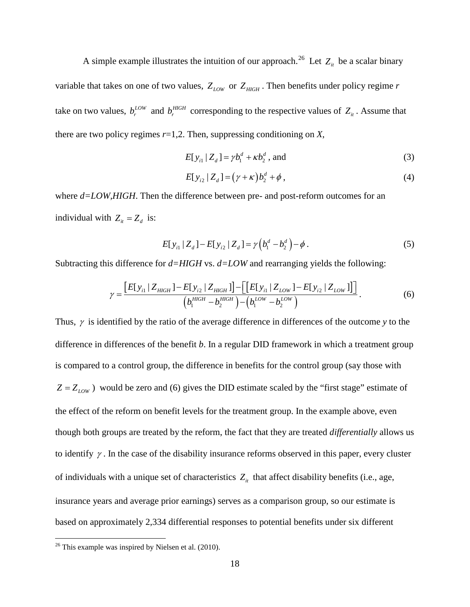A simple example illustrates the intuition of our approach.<sup>26</sup> Let  $Z_{it}$  be a scalar binary variable that takes on one of two values,  $Z_{LOW}$  or  $Z_{HIGH}$ . Then benefits under policy regime *r* take on two values,  $b_r^{LOW}$  and  $b_r^{HIGH}$  corresponding to the respective values of  $Z_{it}$ . Assume that there are two policy regimes *r*=1,2. Then, suppressing conditioning on *X*,

$$
E[y_{i1} | Z_d] = \gamma b_1^d + \kappa b_2^d
$$
, and (3)

$$
E[y_{i2} | Z_d] = (\gamma + \kappa) b_2^d + \phi , \qquad (4)
$$

where  $d=LOW, HIGH$ . Then the difference between pre- and post-reform outcomes for an individual with  $Z_{it} = Z_{it}$  is:

$$
E[y_{i1} | Z_d] - E[y_{i2} | Z_d] = \gamma (b_1^d - b_2^d) - \phi.
$$
 (5)

Subtracting this difference for *d=HIGH* vs. *d=LOW* and rearranging yields the following:

$$
\gamma = \frac{[E[y_{i1} | Z_{HIGH}] - E[y_{i2} | Z_{HIGH}]] - [[E[y_{i1} | Z_{LOW}] - E[y_{i2} | Z_{LOW}]]]}{(b_1^{HIGH} - b_2^{HIGH}) - (b_1^{LOW} - b_2^{LOW})}.
$$
 (6)

Thus, <sup>γ</sup> is identified by the ratio of the average difference in differences of the outcome *y* to the difference in differences of the benefit *b*. In a regular DID framework in which a treatment group is compared to a control group, the difference in benefits for the control group (say those with  $Z = Z_{LOW}$ ) would be zero and (6) gives the DID estimate scaled by the "first stage" estimate of the effect of the reform on benefit levels for the treatment group. In the example above, even though both groups are treated by the reform, the fact that they are treated *differentially* allows us to identify  $\gamma$ . In the case of the disability insurance reforms observed in this paper, every cluster of individuals with a unique set of characteristics  $Z_{it}$  that affect disability benefits (i.e., age, insurance years and average prior earnings) serves as a comparison group, so our estimate is based on approximately 2,334 differential responses to potential benefits under six different

<span id="page-20-0"></span> $26$  This example was inspired by Nielsen et al. (2010).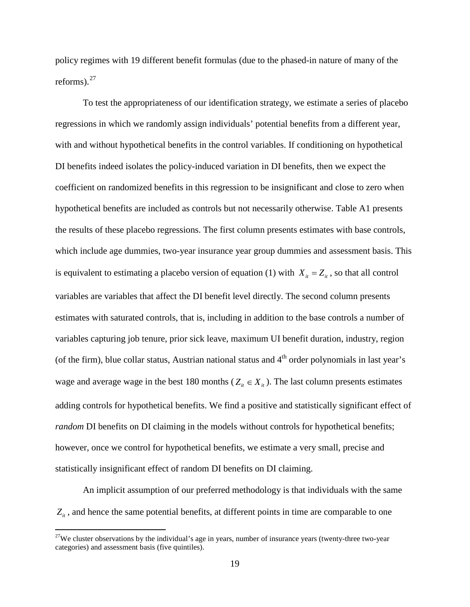policy regimes with 19 different benefit formulas (due to the phased-in nature of many of the reforms). $27$ 

To test the appropriateness of our identification strategy, we estimate a series of placebo regressions in which we randomly assign individuals' potential benefits from a different year, with and without hypothetical benefits in the control variables. If conditioning on hypothetical DI benefits indeed isolates the policy-induced variation in DI benefits, then we expect the coefficient on randomized benefits in this regression to be insignificant and close to zero when hypothetical benefits are included as controls but not necessarily otherwise. Table A1 presents the results of these placebo regressions. The first column presents estimates with base controls, which include age dummies, two-year insurance year group dummies and assessment basis. This is equivalent to estimating a placebo version of equation (1) with  $X_i = Z_i$ , so that all control variables are variables that affect the DI benefit level directly. The second column presents estimates with saturated controls, that is, including in addition to the base controls a number of variables capturing job tenure, prior sick leave, maximum UI benefit duration, industry, region (of the firm), blue collar status, Austrian national status and  $4<sup>th</sup>$  order polynomials in last year's wage and average wage in the best 180 months ( $Z_i \in X_i$ ). The last column presents estimates adding controls for hypothetical benefits. We find a positive and statistically significant effect of *random* DI benefits on DI claiming in the models without controls for hypothetical benefits; however, once we control for hypothetical benefits, we estimate a very small, precise and statistically insignificant effect of random DI benefits on DI claiming.

An implicit assumption of our preferred methodology is that individuals with the same  $Z_{it}$ , and hence the same potential benefits, at different points in time are comparable to one

<span id="page-21-0"></span><sup>&</sup>lt;sup>27</sup>We cluster observations by the individual's age in years, number of insurance years (twenty-three two-year categories) and assessment basis (five quintiles).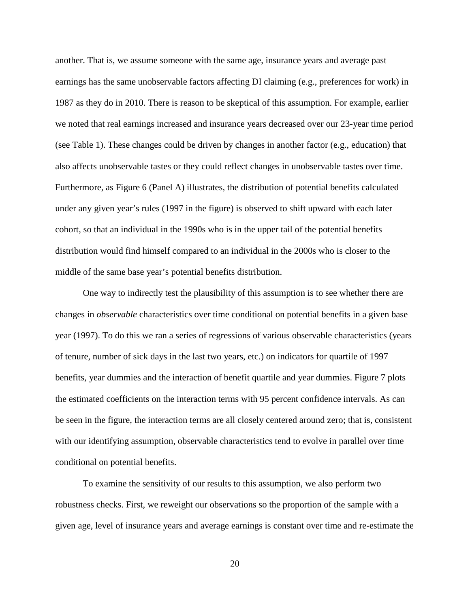another. That is, we assume someone with the same age, insurance years and average past earnings has the same unobservable factors affecting DI claiming (e.g., preferences for work) in 1987 as they do in 2010. There is reason to be skeptical of this assumption. For example, earlier we noted that real earnings increased and insurance years decreased over our 23-year time period (see Table 1). These changes could be driven by changes in another factor (e.g., education) that also affects unobservable tastes or they could reflect changes in unobservable tastes over time. Furthermore, as Figure 6 (Panel A) illustrates, the distribution of potential benefits calculated under any given year's rules (1997 in the figure) is observed to shift upward with each later cohort, so that an individual in the 1990s who is in the upper tail of the potential benefits distribution would find himself compared to an individual in the 2000s who is closer to the middle of the same base year's potential benefits distribution.

One way to indirectly test the plausibility of this assumption is to see whether there are changes in *observable* characteristics over time conditional on potential benefits in a given base year (1997). To do this we ran a series of regressions of various observable characteristics (years of tenure, number of sick days in the last two years, etc.) on indicators for quartile of 1997 benefits, year dummies and the interaction of benefit quartile and year dummies. Figure 7 plots the estimated coefficients on the interaction terms with 95 percent confidence intervals. As can be seen in the figure, the interaction terms are all closely centered around zero; that is, consistent with our identifying assumption, observable characteristics tend to evolve in parallel over time conditional on potential benefits.

To examine the sensitivity of our results to this assumption, we also perform two robustness checks. First, we reweight our observations so the proportion of the sample with a given age, level of insurance years and average earnings is constant over time and re-estimate the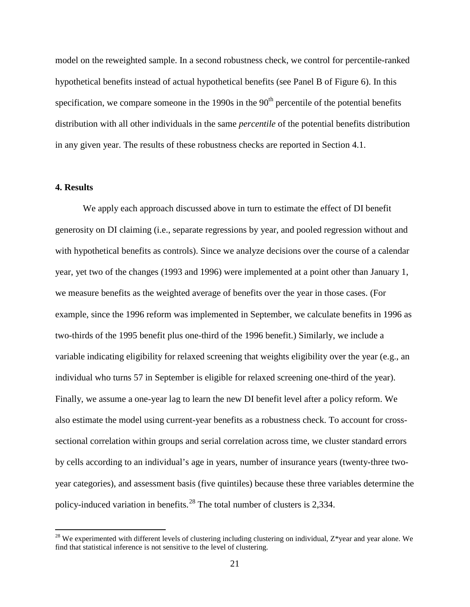model on the reweighted sample. In a second robustness check, we control for percentile-ranked hypothetical benefits instead of actual hypothetical benefits (see Panel B of Figure 6). In this specification, we compare someone in the 1990s in the  $90<sup>th</sup>$  percentile of the potential benefits distribution with all other individuals in the same *percentile* of the potential benefits distribution in any given year. The results of these robustness checks are reported in Section 4.1.

#### **4. Results**

We apply each approach discussed above in turn to estimate the effect of DI benefit generosity on DI claiming (i.e., separate regressions by year, and pooled regression without and with hypothetical benefits as controls). Since we analyze decisions over the course of a calendar year, yet two of the changes (1993 and 1996) were implemented at a point other than January 1, we measure benefits as the weighted average of benefits over the year in those cases. (For example, since the 1996 reform was implemented in September, we calculate benefits in 1996 as two-thirds of the 1995 benefit plus one-third of the 1996 benefit.) Similarly, we include a variable indicating eligibility for relaxed screening that weights eligibility over the year (e.g., an individual who turns 57 in September is eligible for relaxed screening one-third of the year). Finally, we assume a one-year lag to learn the new DI benefit level after a policy reform. We also estimate the model using current-year benefits as a robustness check. To account for crosssectional correlation within groups and serial correlation across time, we cluster standard errors by cells according to an individual's age in years, number of insurance years (twenty-three twoyear categories), and assessment basis (five quintiles) because these three variables determine the policy-induced variation in benefits.[28](#page-23-0) The total number of clusters is 2,334.

<span id="page-23-0"></span> $^{28}$  We experimented with different levels of clustering including clustering on individual, Z\*year and year alone. We find that statistical inference is not sensitive to the level of clustering.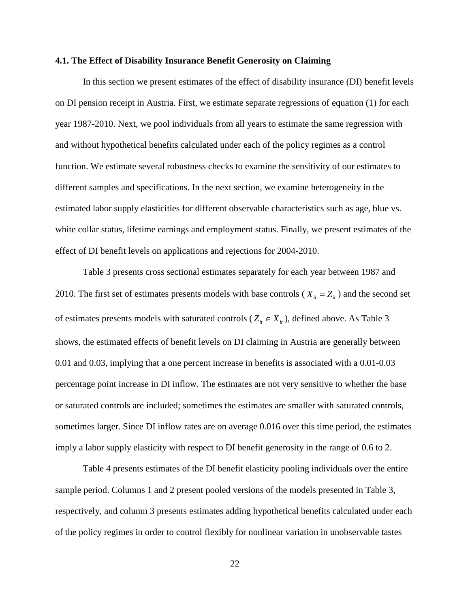#### **4.1. The Effect of Disability Insurance Benefit Generosity on Claiming**

In this section we present estimates of the effect of disability insurance (DI) benefit levels on DI pension receipt in Austria. First, we estimate separate regressions of equation (1) for each year 1987-2010. Next, we pool individuals from all years to estimate the same regression with and without hypothetical benefits calculated under each of the policy regimes as a control function. We estimate several robustness checks to examine the sensitivity of our estimates to different samples and specifications. In the next section, we examine heterogeneity in the estimated labor supply elasticities for different observable characteristics such as age, blue vs. white collar status, lifetime earnings and employment status. Finally, we present estimates of the effect of DI benefit levels on applications and rejections for 2004-2010.

Table 3 presents cross sectional estimates separately for each year between 1987 and 2010. The first set of estimates presents models with base controls ( $X_i = Z_i$ ) and the second set of estimates presents models with saturated controls ( $Z_i \in X_i$ ), defined above. As Table 3 shows, the estimated effects of benefit levels on DI claiming in Austria are generally between 0.01 and 0.03, implying that a one percent increase in benefits is associated with a 0.01-0.03 percentage point increase in DI inflow. The estimates are not very sensitive to whether the base or saturated controls are included; sometimes the estimates are smaller with saturated controls, sometimes larger. Since DI inflow rates are on average 0.016 over this time period, the estimates imply a labor supply elasticity with respect to DI benefit generosity in the range of 0.6 to 2.

Table 4 presents estimates of the DI benefit elasticity pooling individuals over the entire sample period. Columns 1 and 2 present pooled versions of the models presented in Table 3, respectively, and column 3 presents estimates adding hypothetical benefits calculated under each of the policy regimes in order to control flexibly for nonlinear variation in unobservable tastes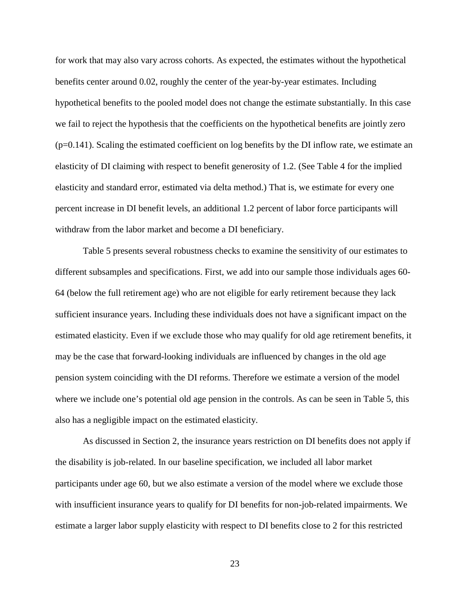for work that may also vary across cohorts. As expected, the estimates without the hypothetical benefits center around 0.02, roughly the center of the year-by-year estimates. Including hypothetical benefits to the pooled model does not change the estimate substantially. In this case we fail to reject the hypothesis that the coefficients on the hypothetical benefits are jointly zero  $(p=0.141)$ . Scaling the estimated coefficient on log benefits by the DI inflow rate, we estimate an elasticity of DI claiming with respect to benefit generosity of 1.2. (See Table 4 for the implied elasticity and standard error, estimated via delta method.) That is, we estimate for every one percent increase in DI benefit levels, an additional 1.2 percent of labor force participants will withdraw from the labor market and become a DI beneficiary.

Table 5 presents several robustness checks to examine the sensitivity of our estimates to different subsamples and specifications. First, we add into our sample those individuals ages 60- 64 (below the full retirement age) who are not eligible for early retirement because they lack sufficient insurance years. Including these individuals does not have a significant impact on the estimated elasticity. Even if we exclude those who may qualify for old age retirement benefits, it may be the case that forward-looking individuals are influenced by changes in the old age pension system coinciding with the DI reforms. Therefore we estimate a version of the model where we include one's potential old age pension in the controls. As can be seen in Table 5, this also has a negligible impact on the estimated elasticity.

As discussed in Section 2, the insurance years restriction on DI benefits does not apply if the disability is job-related. In our baseline specification, we included all labor market participants under age 60, but we also estimate a version of the model where we exclude those with insufficient insurance years to qualify for DI benefits for non-job-related impairments. We estimate a larger labor supply elasticity with respect to DI benefits close to 2 for this restricted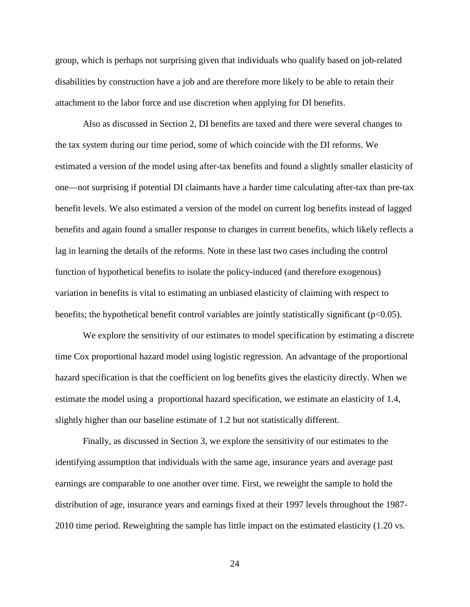group, which is perhaps not surprising given that individuals who qualify based on job-related disabilities by construction have a job and are therefore more likely to be able to retain their attachment to the labor force and use discretion when applying for DI benefits.

Also as discussed in Section 2, DI benefits are taxed and there were several changes to the tax system during our time period, some of which coincide with the DI reforms. We estimated a version of the model using after-tax benefits and found a slightly smaller elasticity of one—not surprising if potential DI claimants have a harder time calculating after-tax than pre-tax benefit levels. We also estimated a version of the model on current log benefits instead of lagged benefits and again found a smaller response to changes in current benefits, which likely reflects a lag in learning the details of the reforms. Note in these last two cases including the control function of hypothetical benefits to isolate the policy-induced (and therefore exogenous) variation in benefits is vital to estimating an unbiased elasticity of claiming with respect to benefits; the hypothetical benefit control variables are jointly statistically significant  $(p<0.05)$ .

We explore the sensitivity of our estimates to model specification by estimating a discrete time Cox proportional hazard model using logistic regression. An advantage of the proportional hazard specification is that the coefficient on log benefits gives the elasticity directly. When we estimate the model using a proportional hazard specification, we estimate an elasticity of 1.4, slightly higher than our baseline estimate of 1.2 but not statistically different.

Finally, as discussed in Section 3, we explore the sensitivity of our estimates to the identifying assumption that individuals with the same age, insurance years and average past earnings are comparable to one another over time. First, we reweight the sample to hold the distribution of age, insurance years and earnings fixed at their 1997 levels throughout the 1987- 2010 time period. Reweighting the sample has little impact on the estimated elasticity (1.20 vs.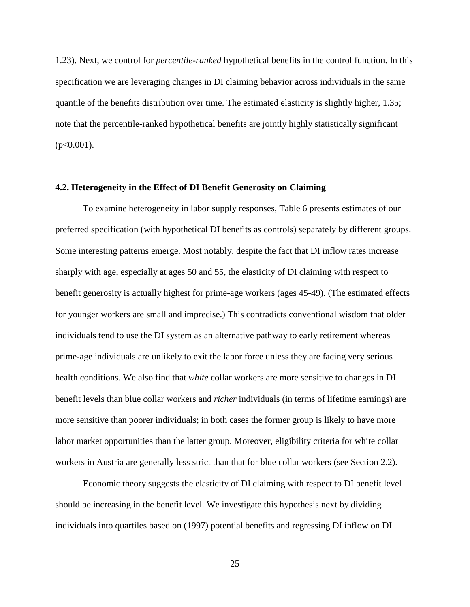1.23). Next, we control for *percentile-ranked* hypothetical benefits in the control function. In this specification we are leveraging changes in DI claiming behavior across individuals in the same quantile of the benefits distribution over time. The estimated elasticity is slightly higher, 1.35; note that the percentile-ranked hypothetical benefits are jointly highly statistically significant  $(p<0.001)$ .

#### **4.2. Heterogeneity in the Effect of DI Benefit Generosity on Claiming**

To examine heterogeneity in labor supply responses, Table 6 presents estimates of our preferred specification (with hypothetical DI benefits as controls) separately by different groups. Some interesting patterns emerge. Most notably, despite the fact that DI inflow rates increase sharply with age, especially at ages 50 and 55, the elasticity of DI claiming with respect to benefit generosity is actually highest for prime-age workers (ages 45-49). (The estimated effects for younger workers are small and imprecise.) This contradicts conventional wisdom that older individuals tend to use the DI system as an alternative pathway to early retirement whereas prime-age individuals are unlikely to exit the labor force unless they are facing very serious health conditions. We also find that *white* collar workers are more sensitive to changes in DI benefit levels than blue collar workers and *richer* individuals (in terms of lifetime earnings) are more sensitive than poorer individuals; in both cases the former group is likely to have more labor market opportunities than the latter group. Moreover, eligibility criteria for white collar workers in Austria are generally less strict than that for blue collar workers (see Section 2.2).

Economic theory suggests the elasticity of DI claiming with respect to DI benefit level should be increasing in the benefit level. We investigate this hypothesis next by dividing individuals into quartiles based on (1997) potential benefits and regressing DI inflow on DI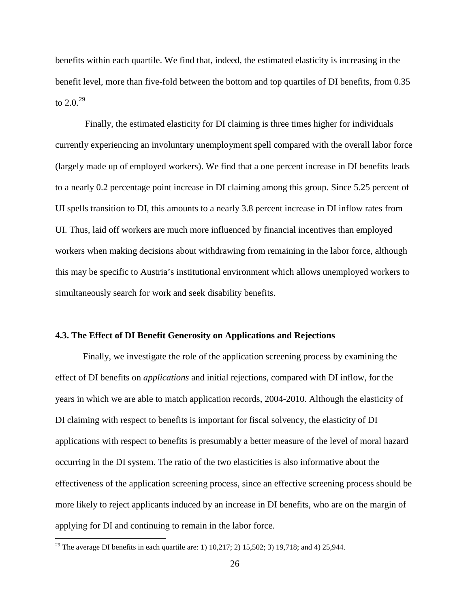benefits within each quartile. We find that, indeed, the estimated elasticity is increasing in the benefit level, more than five-fold between the bottom and top quartiles of DI benefits, from 0.35 to 2.0. $^{29}$  $^{29}$  $^{29}$ 

Finally, the estimated elasticity for DI claiming is three times higher for individuals currently experiencing an involuntary unemployment spell compared with the overall labor force (largely made up of employed workers). We find that a one percent increase in DI benefits leads to a nearly 0.2 percentage point increase in DI claiming among this group. Since 5.25 percent of UI spells transition to DI, this amounts to a nearly 3.8 percent increase in DI inflow rates from UI. Thus, laid off workers are much more influenced by financial incentives than employed workers when making decisions about withdrawing from remaining in the labor force, although this may be specific to Austria's institutional environment which allows unemployed workers to simultaneously search for work and seek disability benefits.

#### **4.3. The Effect of DI Benefit Generosity on Applications and Rejections**

Finally, we investigate the role of the application screening process by examining the effect of DI benefits on *applications* and initial rejections, compared with DI inflow, for the years in which we are able to match application records, 2004-2010. Although the elasticity of DI claiming with respect to benefits is important for fiscal solvency, the elasticity of DI applications with respect to benefits is presumably a better measure of the level of moral hazard occurring in the DI system. The ratio of the two elasticities is also informative about the effectiveness of the application screening process, since an effective screening process should be more likely to reject applicants induced by an increase in DI benefits, who are on the margin of applying for DI and continuing to remain in the labor force.

<span id="page-28-0"></span><sup>&</sup>lt;sup>29</sup> The average DI benefits in each quartile are: 1) 10,217; 2) 15,502; 3) 19,718; and 4) 25,944.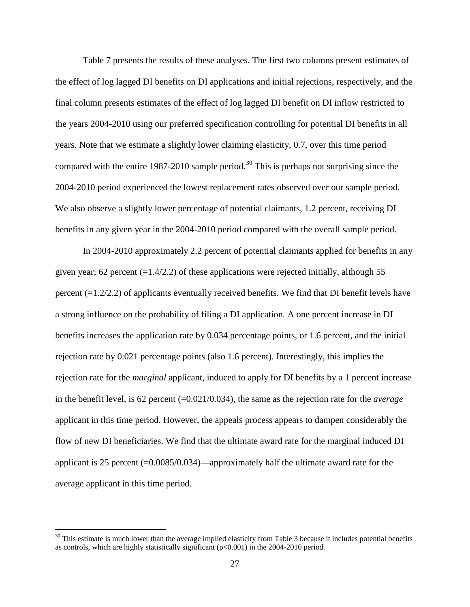Table 7 presents the results of these analyses. The first two columns present estimates of the effect of log lagged DI benefits on DI applications and initial rejections, respectively, and the final column presents estimates of the effect of log lagged DI benefit on DI inflow restricted to the years 2004-2010 using our preferred specification controlling for potential DI benefits in all years. Note that we estimate a slightly lower claiming elasticity, 0.7, over this time period compared with the entire 1987-2010 sample period.<sup>[30](#page-29-0)</sup> This is perhaps not surprising since the 2004-2010 period experienced the lowest replacement rates observed over our sample period. We also observe a slightly lower percentage of potential claimants, 1.2 percent, receiving DI benefits in any given year in the 2004-2010 period compared with the overall sample period.

In 2004-2010 approximately 2.2 percent of potential claimants applied for benefits in any given year; 62 percent  $(=1.4/2.2)$  of these applications were rejected initially, although 55 percent (=1.2/2.2) of applicants eventually received benefits. We find that DI benefit levels have a strong influence on the probability of filing a DI application. A one percent increase in DI benefits increases the application rate by 0.034 percentage points, or 1.6 percent, and the initial rejection rate by 0.021 percentage points (also 1.6 percent). Interestingly, this implies the rejection rate for the *marginal* applicant, induced to apply for DI benefits by a 1 percent increase in the benefit level, is 62 percent (=0.021/0.034), the same as the rejection rate for the *average* applicant in this time period. However, the appeals process appears to dampen considerably the flow of new DI beneficiaries. We find that the ultimate award rate for the marginal induced DI applicant is 25 percent (=0.0085/0.034)—approximately half the ultimate award rate for the average applicant in this time period.

<span id="page-29-0"></span> $30$  This estimate is much lower than the average implied elasticity from Table 3 because it includes potential benefits as controls, which are highly statistically significant (p<0.001) in the 2004-2010 period.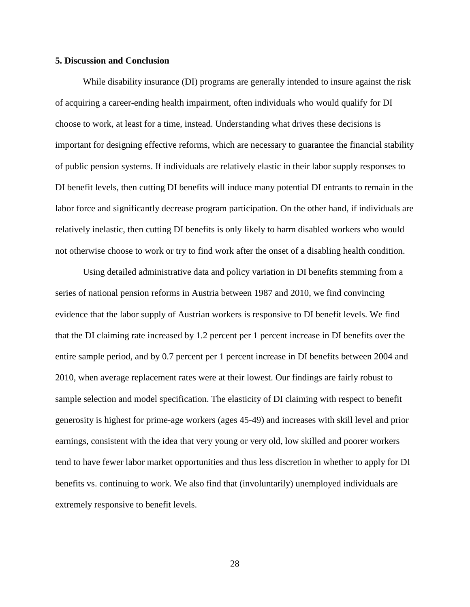#### **5. Discussion and Conclusion**

While disability insurance (DI) programs are generally intended to insure against the risk of acquiring a career-ending health impairment, often individuals who would qualify for DI choose to work, at least for a time, instead. Understanding what drives these decisions is important for designing effective reforms, which are necessary to guarantee the financial stability of public pension systems. If individuals are relatively elastic in their labor supply responses to DI benefit levels, then cutting DI benefits will induce many potential DI entrants to remain in the labor force and significantly decrease program participation. On the other hand, if individuals are relatively inelastic, then cutting DI benefits is only likely to harm disabled workers who would not otherwise choose to work or try to find work after the onset of a disabling health condition.

Using detailed administrative data and policy variation in DI benefits stemming from a series of national pension reforms in Austria between 1987 and 2010, we find convincing evidence that the labor supply of Austrian workers is responsive to DI benefit levels. We find that the DI claiming rate increased by 1.2 percent per 1 percent increase in DI benefits over the entire sample period, and by 0.7 percent per 1 percent increase in DI benefits between 2004 and 2010, when average replacement rates were at their lowest. Our findings are fairly robust to sample selection and model specification. The elasticity of DI claiming with respect to benefit generosity is highest for prime-age workers (ages 45-49) and increases with skill level and prior earnings, consistent with the idea that very young or very old, low skilled and poorer workers tend to have fewer labor market opportunities and thus less discretion in whether to apply for DI benefits vs. continuing to work. We also find that (involuntarily) unemployed individuals are extremely responsive to benefit levels.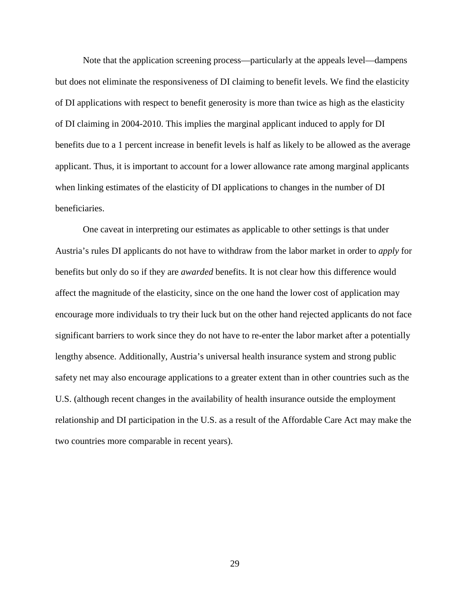Note that the application screening process—particularly at the appeals level—dampens but does not eliminate the responsiveness of DI claiming to benefit levels. We find the elasticity of DI applications with respect to benefit generosity is more than twice as high as the elasticity of DI claiming in 2004-2010. This implies the marginal applicant induced to apply for DI benefits due to a 1 percent increase in benefit levels is half as likely to be allowed as the average applicant. Thus, it is important to account for a lower allowance rate among marginal applicants when linking estimates of the elasticity of DI applications to changes in the number of DI beneficiaries.

One caveat in interpreting our estimates as applicable to other settings is that under Austria's rules DI applicants do not have to withdraw from the labor market in order to *apply* for benefits but only do so if they are *awarded* benefits. It is not clear how this difference would affect the magnitude of the elasticity, since on the one hand the lower cost of application may encourage more individuals to try their luck but on the other hand rejected applicants do not face significant barriers to work since they do not have to re-enter the labor market after a potentially lengthy absence. Additionally, Austria's universal health insurance system and strong public safety net may also encourage applications to a greater extent than in other countries such as the U.S. (although recent changes in the availability of health insurance outside the employment relationship and DI participation in the U.S. as a result of the Affordable Care Act may make the two countries more comparable in recent years).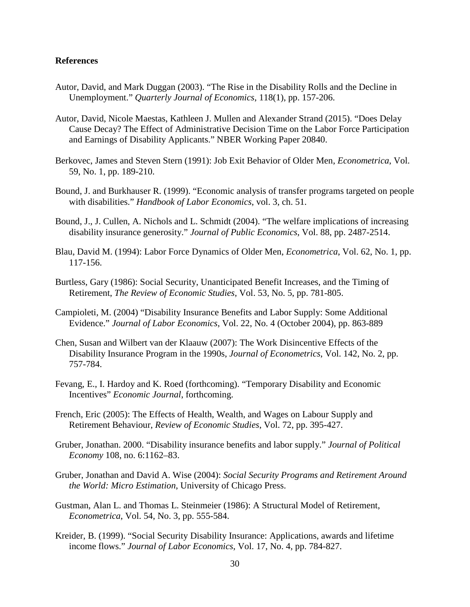#### **References**

- Autor, David, and Mark Duggan (2003). "The Rise in the Disability Rolls and the Decline in Unemployment." *Quarterly Journal of Economics*, 118(1), pp. 157-206.
- Autor, David, Nicole Maestas, Kathleen J. Mullen and Alexander Strand (2015). "Does Delay Cause Decay? The Effect of Administrative Decision Time on the Labor Force Participation and Earnings of Disability Applicants." NBER Working Paper 20840.
- Berkovec, James and Steven Stern (1991): Job Exit Behavior of Older Men, *Econometrica*, Vol. 59, No. 1, pp. 189-210.
- Bound, J. and Burkhauser R. (1999). "Economic analysis of transfer programs targeted on people with disabilities." *Handbook of Labor Economics*, vol. 3, ch. 51.
- Bound, J., J. Cullen, A. Nichols and L. Schmidt (2004). "The welfare implications of increasing disability insurance generosity." *Journal of Public Economics*, Vol. 88, pp. 2487-2514.
- Blau, David M. (1994): Labor Force Dynamics of Older Men, *Econometrica*, Vol. 62, No. 1, pp. 117-156.
- Burtless, Gary (1986): Social Security, Unanticipated Benefit Increases, and the Timing of Retirement, *The Review of Economic Studies*, Vol. 53, No. 5, pp. 781-805.
- Campioleti, M. (2004) "Disability Insurance Benefits and Labor Supply: Some Additional Evidence." *Journal of Labor Economics*, Vol. 22, No. 4 (October 2004), pp. 863-889
- Chen, Susan and Wilbert van der Klaauw (2007): The Work Disincentive Effects of the Disability Insurance Program in the 1990s, *Journal of Econometrics*, Vol. 142, No. 2, pp. 757-784.
- Fevang, E., I. Hardoy and K. Roed (forthcoming). "Temporary Disability and Economic Incentives" *Economic Journal*, forthcoming.
- French, Eric (2005): The Effects of Health, Wealth, and Wages on Labour Supply and Retirement Behaviour, *Review of Economic Studies*, Vol. 72, pp. 395-427.
- Gruber, Jonathan. 2000. "Disability insurance benefits and labor supply." *Journal of Political Economy* 108, no. 6:1162–83.
- Gruber, Jonathan and David A. Wise (2004): *Social Security Programs and Retirement Around the World: Micro Estimation*, University of Chicago Press.
- Gustman, Alan L. and Thomas L. Steinmeier (1986): A Structural Model of Retirement, *Econometrica*, Vol. 54, No. 3, pp. 555-584.
- Kreider, B. (1999). "Social Security Disability Insurance: Applications, awards and lifetime income flows." *Journal of Labor Economics*, Vol. 17, No. 4, pp. 784-827.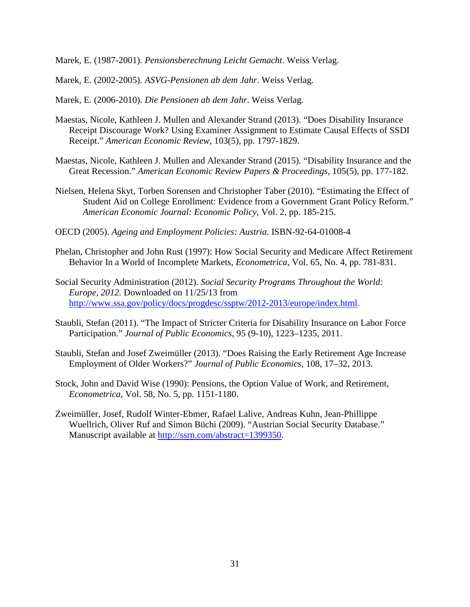Marek, E. (1987-2001). *Pensionsberechnung Leicht Gemacht*. Weiss Verlag.

Marek, E. (2002-2005). *ASVG-Pensionen ab dem Jahr*. Weiss Verlag.

Marek, E. (2006-2010). *Die Pensionen ab dem Jahr*. Weiss Verlag.

- Maestas, Nicole, Kathleen J. Mullen and Alexander Strand (2013). "Does Disability Insurance Receipt Discourage Work? Using Examiner Assignment to Estimate Causal Effects of SSDI Receipt." *American Economic Review*, 103(5), pp. 1797-1829.
- Maestas, Nicole, Kathleen J. Mullen and Alexander Strand (2015). "Disability Insurance and the Great Recession." *American Economic Review Papers & Proceedings*, 105(5), pp. 177-182.
- Nielsen, Helena Skyt, Torben Sorensen and Christopher Taber (2010). "Estimating the Effect of Student Aid on College Enrollment: Evidence from a Government Grant Policy Reform." *American Economic Journal: Economic Policy*, Vol. 2, pp. 185-215.
- OECD (2005). *Ageing and Employment Policies: Austria*. ISBN-92-64-01008-4
- Phelan, Christopher and John Rust (1997): How Social Security and Medicare Affect Retirement Behavior In a World of Incomplete Markets, *Econometrica*, Vol. 65, No. 4, pp. 781-831.
- Social Security Administration (2012). *Social Security Programs Throughout the World: Europe, 2012.* Downloaded on 11/25/13 from [http://www.ssa.gov/policy/docs/progdesc/ssptw/2012-2013/europe/index.html.](http://www.ssa.gov/policy/docs/progdesc/ssptw/2012-2013/europe/index.html)
- Staubli, Stefan (2011). "The Impact of Stricter Criteria for Disability Insurance on Labor Force Participation." *Journal of Public Economics*, 95 (9-10), 1223–1235, 2011.
- Staubli, Stefan and Josef Zweimüller (2013). ["Does Raising the Early Retirement Age Increase](http://www.sciencedirect.com/science/article/pii/S0047272713001734)  [Employment of Older Workers?"](http://www.sciencedirect.com/science/article/pii/S0047272713001734) *Journal of Public Economics*, 108, 17–32, 2013.
- Stock, John and David Wise (1990): Pensions, the Option Value of Work, and Retirement, *Econometrica*, Vol. 58, No. 5, pp. 1151-1180.
- Zweimüller, Josef, Rudolf Winter-Ebmer, Rafael Lalive, Andreas Kuhn, Jean-Phillippe Wuellrich, Oliver Ruf and Simon Büchi (2009). "Austrian Social Security Database." Manuscript available at [http://ssrn.com/abstract=1399350.](http://ssrn.com/abstract=1399350)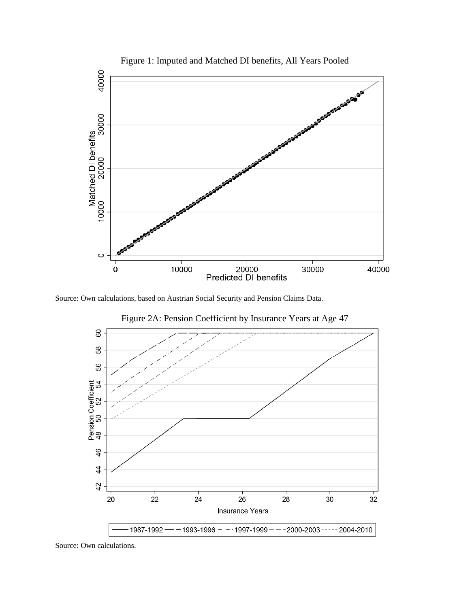

Figure 1: Imputed and Matched DI benefits, All Years Pooled

Source: Own calculations, based on Austrian Social Security and Pension Claims Data.



Figure 2A: Pension Coefficient by Insurance Years at Age 47

Source: Own calculations.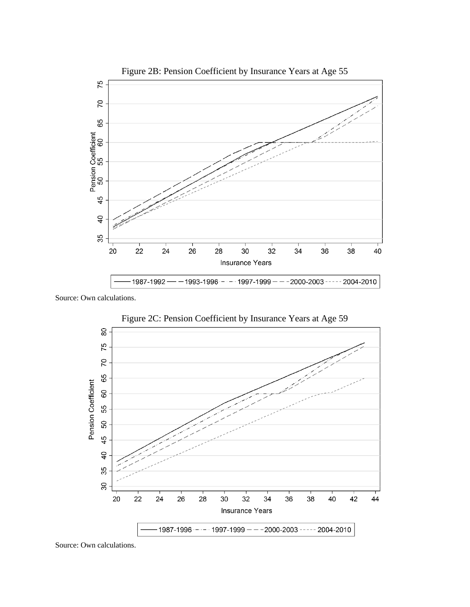

Source: Own calculations.



Source: Own calculations.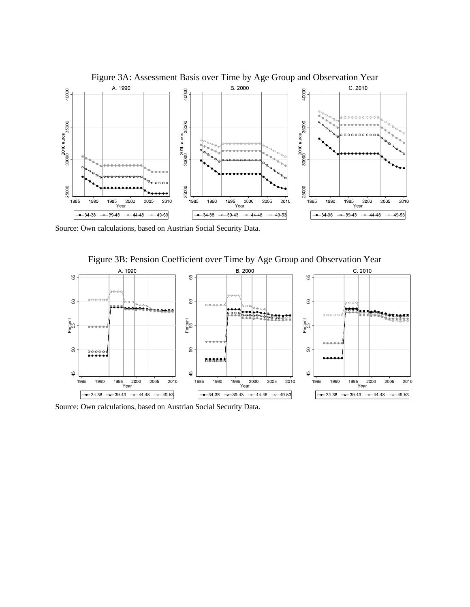

Figure 3A: Assessment Basis over Time by Age Group and Observation Year

Source: Own calculations, based on Austrian Social Security Data.



Figure 3B: Pension Coefficient over Time by Age Group and Observation Year

Source: Own calculations, based on Austrian Social Security Data.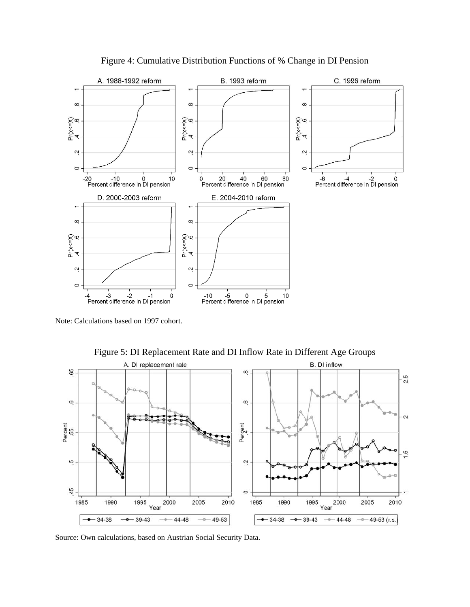

Figure 4: Cumulative Distribution Functions of % Change in DI Pension

Note: Calculations based on 1997 cohort.



Figure 5: DI Replacement Rate and DI Inflow Rate in Different Age Groups

Source: Own calculations, based on Austrian Social Security Data.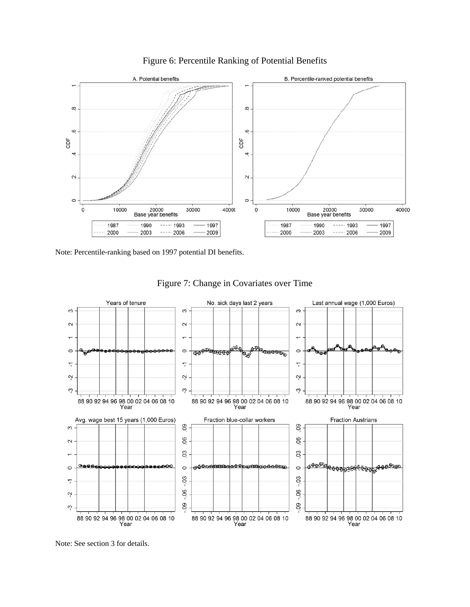

Figure 6: Percentile Ranking of Potential Benefits

Note: Percentile-ranking based on 1997 potential DI benefits.



Figure 7: Change in Covariates over Time

Note: See section 3 for details.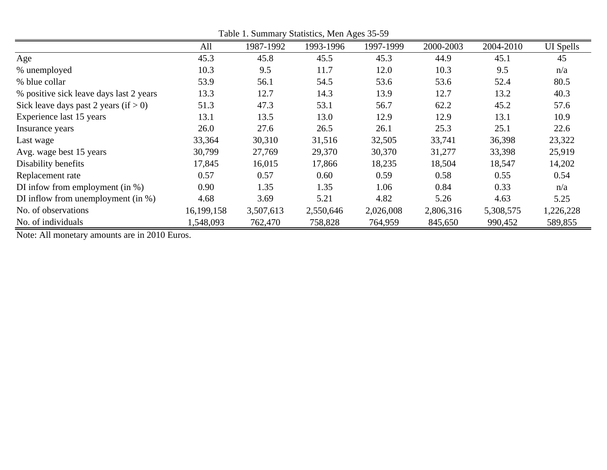|                                          | All        | 1987-1992 | 1993-1996 | 1997-1999 | 2000-2003 | 2004-2010 | <b>UI</b> Spells |
|------------------------------------------|------------|-----------|-----------|-----------|-----------|-----------|------------------|
| Age                                      | 45.3       | 45.8      | 45.5      | 45.3      | 44.9      | 45.1      | 45               |
| % unemployed                             | 10.3       | 9.5       | 11.7      | 12.0      | 10.3      | 9.5       | n/a              |
| % blue collar                            | 53.9       | 56.1      | 54.5      | 53.6      | 53.6      | 52.4      | 80.5             |
| % positive sick leave days last 2 years  | 13.3       | 12.7      | 14.3      | 13.9      | 12.7      | 13.2      | 40.3             |
| Sick leave days past 2 years (if $> 0$ ) | 51.3       | 47.3      | 53.1      | 56.7      | 62.2      | 45.2      | 57.6             |
| Experience last 15 years                 | 13.1       | 13.5      | 13.0      | 12.9      | 12.9      | 13.1      | 10.9             |
| Insurance years                          | 26.0       | 27.6      | 26.5      | 26.1      | 25.3      | 25.1      | 22.6             |
| Last wage                                | 33,364     | 30,310    | 31,516    | 32,505    | 33,741    | 36,398    | 23,322           |
| Avg. wage best 15 years                  | 30,799     | 27,769    | 29,370    | 30,370    | 31,277    | 33,398    | 25,919           |
| Disability benefits                      | 17,845     | 16,015    | 17,866    | 18,235    | 18,504    | 18,547    | 14,202           |
| Replacement rate                         | 0.57       | 0.57      | 0.60      | 0.59      | 0.58      | 0.55      | 0.54             |
| DI infow from employment (in $\%$ )      | 0.90       | 1.35      | 1.35      | 1.06      | 0.84      | 0.33      | n/a              |
| DI inflow from unemployment (in $\%$ )   | 4.68       | 3.69      | 5.21      | 4.82      | 5.26      | 4.63      | 5.25             |
| No. of observations                      | 16,199,158 | 3,507,613 | 2,550,646 | 2,026,008 | 2,806,316 | 5,308,575 | 1,226,228        |
| No. of individuals                       | 1,548,093  | 762,470   | 758,828   | 764,959   | 845,650   | 990,452   | 589,855          |

Table 1. Summary Statistics, Men Ages 35-59

Note: All monetary amounts are in 2010 Euros.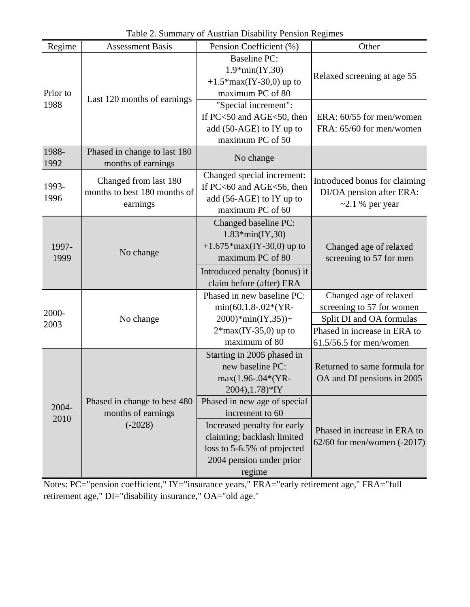| Regime        | <b>Assessment Basis</b>                                           | Pension Coefficient (%)                                                                                                                                                           | Other                                                                                                           |
|---------------|-------------------------------------------------------------------|-----------------------------------------------------------------------------------------------------------------------------------------------------------------------------------|-----------------------------------------------------------------------------------------------------------------|
| Prior to      |                                                                   | <b>Baseline PC:</b><br>$1.9*min(IV,30)$<br>+1.5* $max(IV-30,0)$ up to<br>maximum PC of 80                                                                                         | Relaxed screening at age 55                                                                                     |
| 1988          | Last 120 months of earnings                                       | "Special increment":<br>If PC<50 and AGE<50, then<br>add (50-AGE) to IY up to<br>maximum PC of 50                                                                                 | ERA: 60/55 for men/women<br>FRA: 65/60 for men/women                                                            |
| 1988-<br>1992 | Phased in change to last 180<br>months of earnings                | No change                                                                                                                                                                         |                                                                                                                 |
| 1993-<br>1996 | Changed from last 180<br>months to best 180 months of<br>earnings | Changed special increment:<br>If PC<60 and AGE<56, then<br>add (56-AGE) to IY up to<br>maximum PC of 60                                                                           | Introduced bonus for claiming<br>DI/OA pension after ERA:<br>$\sim$ 2.1 % per year                              |
| 1997-<br>1999 | No change                                                         | Changed baseline PC:<br>$1.83*min(IV,30)$<br>+1.675*max(IY-30,0) up to<br>maximum PC of 80                                                                                        | Changed age of relaxed<br>screening to 57 for men                                                               |
|               |                                                                   | Introduced penalty (bonus) if<br>claim before (after) ERA                                                                                                                         |                                                                                                                 |
| 2000-<br>2003 | No change                                                         | Phased in new baseline PC:<br>$min(60, 1.8-.02*(YR -$<br>$2000$ <sup>*</sup> min(IY,35))+<br>$2*max(IV-35,0)$ up to                                                               | Changed age of relaxed<br>screening to 57 for women<br>Split DI and OA formulas<br>Phased in increase in ERA to |
|               |                                                                   | maximum of 80                                                                                                                                                                     | $61.5/56.5$ for men/women                                                                                       |
|               |                                                                   | Starting in 2005 phased in<br>new baseline PC:<br>max(1.96-.04*(YR-<br>$2004$ , 1.78)*IY                                                                                          | Returned to same formula for<br>OA and DI pensions in 2005                                                      |
| 2004-<br>2010 | Phased in change to best 480<br>months of earnings<br>$(-2028)$   | Phased in new age of special<br>increment to 60<br>Increased penalty for early<br>claiming; backlash limited<br>loss to 5-6.5% of projected<br>2004 pension under prior<br>regime | Phased in increase in ERA to<br>$62/60$ for men/women $(-2017)$                                                 |

Table 2. Summary of Austrian Disability Pension Regimes

Notes: PC="pension coefficient," IY="insurance years," ERA="early retirement age," FRA="full retirement age," DI="disability insurance," OA="old age."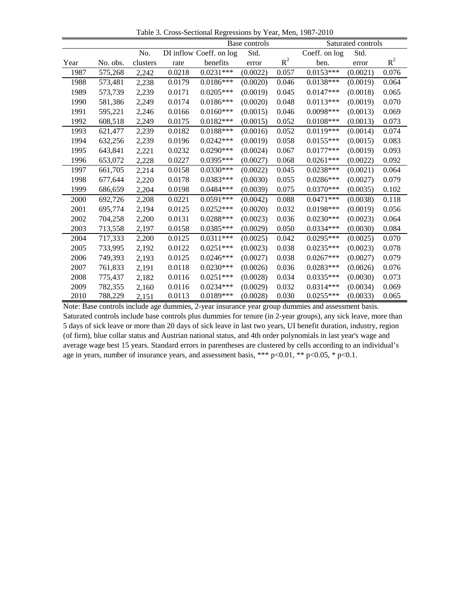Table 3. Cross-Sectional Regressions by Year, Men, 1987-2010

|      | Base controls |          |        |                         | Saturated controls |       |               |          |       |
|------|---------------|----------|--------|-------------------------|--------------------|-------|---------------|----------|-------|
|      |               | No.      |        | DI inflow Coeff. on log | Std.               |       | Coeff. on log | Std.     |       |
| Year | No. obs.      | clusters | rate   | benefits                | error              | $R^2$ | ben.          | error    | $R^2$ |
| 1987 | 575,268       | 2,242    | 0.0218 | $0.0231***$             | (0.0022)           | 0.057 | $0.0153***$   | (0.0021) | 0.076 |
| 1988 | 573,481       | 2,238    | 0.0179 | $0.0186***$             | (0.0020)           | 0.046 | $0.0138***$   | (0.0019) | 0.064 |
| 1989 | 573,739       | 2,239    | 0.0171 | $0.0205***$             | (0.0019)           | 0.045 | $0.0147***$   | (0.0018) | 0.065 |
| 1990 | 581,386       | 2,249    | 0.0174 | $0.0186***$             | (0.0020)           | 0.048 | $0.0113***$   | (0.0019) | 0.070 |
| 1991 | 595,221       | 2,246    | 0.0166 | $0.0160***$             | (0.0015)           | 0.046 | $0.0098***$   | (0.0013) | 0.069 |
| 1992 | 608,518       | 2,249    | 0.0175 | $0.0182***$             | (0.0015)           | 0.052 | $0.0108***$   | (0.0013) | 0.073 |
| 1993 | 621,477       | 2,239    | 0.0182 | $0.0188***$             | (0.0016)           | 0.052 | $0.0119***$   | (0.0014) | 0.074 |
| 1994 | 632,256       | 2,239    | 0.0196 | $0.0242***$             | (0.0019)           | 0.058 | $0.0155***$   | (0.0015) | 0.083 |
| 1995 | 643,841       | 2,221    | 0.0232 | $0.0290***$             | (0.0024)           | 0.067 | $0.0177***$   | (0.0019) | 0.093 |
| 1996 | 653,072       | 2,228    | 0.0227 | $0.0395***$             | (0.0027)           | 0.068 | $0.0261***$   | (0.0022) | 0.092 |
| 1997 | 661,705       | 2,214    | 0.0158 | $0.0330***$             | (0.0022)           | 0.045 | $0.0238***$   | (0.0021) | 0.064 |
| 1998 | 677,644       | 2,220    | 0.0178 | $0.0383***$             | (0.0030)           | 0.055 | $0.0286***$   | (0.0027) | 0.079 |
| 1999 | 686,659       | 2,204    | 0.0198 | $0.0484***$             | (0.0039)           | 0.075 | $0.0370***$   | (0.0035) | 0.102 |
| 2000 | 692,726       | 2,208    | 0.0221 | $0.0591***$             | (0.0042)           | 0.088 | $0.0471***$   | (0.0038) | 0.118 |
| 2001 | 695,774       | 2,194    | 0.0125 | $0.0252***$             | (0.0020)           | 0.032 | $0.0198***$   | (0.0019) | 0.056 |
| 2002 | 704,258       | 2,200    | 0.0131 | $0.0288***$             | (0.0023)           | 0.036 | $0.0230***$   | (0.0023) | 0.064 |
| 2003 | 713,558       | 2,197    | 0.0158 | $0.0385***$             | (0.0029)           | 0.050 | $0.0334***$   | (0.0030) | 0.084 |
| 2004 | 717,333       | 2,200    | 0.0125 | $0.0311***$             | (0.0025)           | 0.042 | $0.0295***$   | (0.0025) | 0.070 |
| 2005 | 733,995       | 2,192    | 0.0122 | $0.0251***$             | (0.0023)           | 0.038 | $0.0235***$   | (0.0023) | 0.078 |
| 2006 | 749,393       | 2,193    | 0.0125 | $0.0246***$             | (0.0027)           | 0.038 | $0.0267***$   | (0.0027) | 0.079 |
| 2007 | 761,833       | 2,191    | 0.0118 | $0.0230***$             | (0.0026)           | 0.036 | $0.0283***$   | (0.0026) | 0.076 |
| 2008 | 775,437       | 2,182    | 0.0116 | $0.0251***$             | (0.0028)           | 0.034 | $0.0335***$   | (0.0030) | 0.073 |
| 2009 | 782,355       | 2,160    | 0.0116 | $0.0234***$             | (0.0029)           | 0.032 | $0.0314***$   | (0.0034) | 0.069 |
| 2010 | 788,229       | 2,151    | 0.0113 | 0.0189***               | (0.0028)           | 0.030 | $0.0255***$   | (0.0033) | 0.065 |

Note: Base controls include age dummies, 2-year insurance year group dummies and assessment basis. Saturated controls include base controls plus dummies for tenure (in 2-year groups), any sick leave, more than 5 days of sick leave or more than 20 days of sick leave in last two years, UI benefit duration, industry, region (of firm), blue collar status and Austrian national status, and 4th order polynomials in last year's wage and average wage best 15 years. Standard errors in parentheses are clustered by cells according to an individual's age in years, number of insurance years, and assessment basis, \*\*\*  $p<0.01$ , \*\*  $p<0.05$ , \*  $p<0.1$ .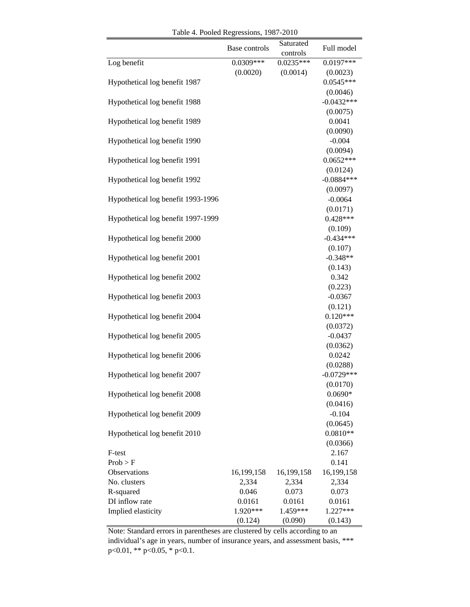|                                    | Base controls | Saturated<br>controls | Full model             |
|------------------------------------|---------------|-----------------------|------------------------|
| Log benefit                        | $0.0309***$   | $0.0235***$           | $0.0197***$            |
|                                    | (0.0020)      | (0.0014)              | (0.0023)               |
| Hypothetical log benefit 1987      |               |                       | $0.0545***$            |
|                                    |               |                       | (0.0046)               |
| Hypothetical log benefit 1988      |               |                       | $-0.0432***$           |
|                                    |               |                       | (0.0075)               |
| Hypothetical log benefit 1989      |               |                       | 0.0041                 |
|                                    |               |                       | (0.0090)               |
| Hypothetical log benefit 1990      |               |                       | $-0.004$               |
|                                    |               |                       | (0.0094)               |
| Hypothetical log benefit 1991      |               |                       | $0.0652***$            |
|                                    |               |                       | (0.0124)               |
| Hypothetical log benefit 1992      |               |                       | $-0.0884***$           |
|                                    |               |                       | (0.0097)               |
| Hypothetical log benefit 1993-1996 |               |                       | $-0.0064$              |
|                                    |               |                       | (0.0171)               |
| Hypothetical log benefit 1997-1999 |               |                       | $0.428***$             |
| Hypothetical log benefit 2000      |               |                       | (0.109)<br>$-0.434***$ |
|                                    |               |                       | (0.107)                |
| Hypothetical log benefit 2001      |               |                       | $-0.348**$             |
|                                    |               |                       | (0.143)                |
| Hypothetical log benefit 2002      |               |                       | 0.342                  |
|                                    |               |                       | (0.223)                |
| Hypothetical log benefit 2003      |               |                       | $-0.0367$              |
|                                    |               |                       | (0.121)                |
| Hypothetical log benefit 2004      |               |                       | $0.120***$             |
|                                    |               |                       | (0.0372)               |
| Hypothetical log benefit 2005      |               |                       | $-0.0437$              |
|                                    |               |                       | (0.0362)               |
| Hypothetical log benefit 2006      |               |                       | 0.0242                 |
|                                    |               |                       | (0.0288)               |
| Hypothetical log benefit 2007      |               |                       | $-0.0729***$           |
|                                    |               |                       | (0.0170)               |
| Hypothetical log benefit 2008      |               |                       | $0.0690*$              |
|                                    |               |                       | (0.0416)               |
| Hypothetical log benefit 2009      |               |                       | $-0.104$               |
|                                    |               |                       | (0.0645)               |
| Hypothetical log benefit 2010      |               |                       | $0.0810**$             |
|                                    |               |                       | (0.0366)               |
| F-test<br>Prob > F                 |               |                       | 2.167<br>0.141         |
| Observations                       | 16,199,158    | 16,199,158            | 16,199,158             |
| No. clusters                       | 2,334         | 2,334                 | 2,334                  |
| R-squared                          | 0.046         | 0.073                 | 0.073                  |
| DI inflow rate                     | 0.0161        | 0.0161                | 0.0161                 |
| Implied elasticity                 | 1.920***      | 1.459***              | 1.227***               |
|                                    | (0.124)       | (0.090)               | (0.143)                |

Table 4. Pooled Regressions, 1987-2010

Note: Standard errors in parentheses are clustered by cells according to an individual's age in years, number of insurance years, and assessment basis, \*\*\* p<0.01, \*\* p<0.05, \* p<0.1.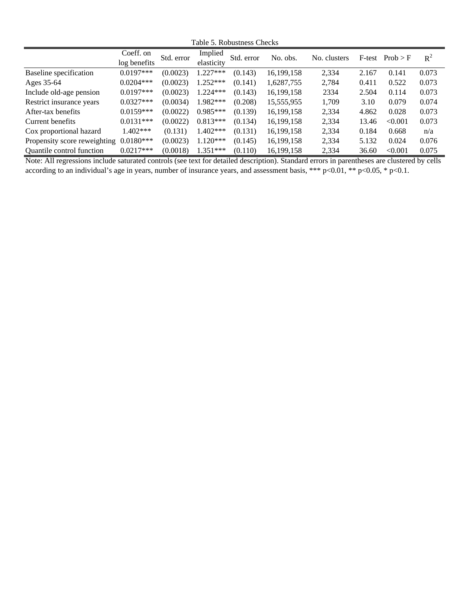Table 5. Robustness Checks

|                                  | Coeff. on    | Std. error | Implied    | Std. error | No. obs.   | No. clusters | F-test | Prob > F | $R^2$ |
|----------------------------------|--------------|------------|------------|------------|------------|--------------|--------|----------|-------|
|                                  | log benefits |            | elasticity |            |            |              |        |          |       |
| <b>Baseline</b> specification    | $0.0197***$  | (0.0023)   | $1.227***$ | (0.143)    | 16.199.158 | 2,334        | 2.167  | 0.141    | 0.073 |
| Ages 35-64                       | $0.0204***$  | (0.0023)   | $1.252***$ | (0.141)    | 1,6287,755 | 2,784        | 0.411  | 0.522    | 0.073 |
| Include old-age pension          | $0.0197***$  | (0.0023)   | $1.224***$ | (0.143)    | 16,199,158 | 2334         | 2.504  | 0.114    | 0.073 |
| Restrict insurance years         | $0.0327***$  | (0.0034)   | 1.982***   | (0.208)    | 15,555,955 | 1.709        | 3.10   | 0.079    | 0.074 |
| After-tax benefits               | $0.0159***$  | (0.0022)   | $0.985***$ | (0.139)    | 16,199,158 | 2,334        | 4.862  | 0.028    | 0.073 |
| Current benefits                 | $0.0131***$  | (0.0022)   | $0.813***$ | (0.134)    | 16,199,158 | 2,334        | 13.46  | < 0.001  | 0.073 |
| Cox proportional hazard          | $1.402***$   | (0.131)    | $1.402***$ | (0.131)    | 16.199.158 | 2,334        | 0.184  | 0.668    | n/a   |
| Propensity score reweighting     | $0.0180***$  | (0.0023)   | $1.120***$ | (0.145)    | 16,199,158 | 2,334        | 5.132  | 0.024    | 0.076 |
| <b>Quantile control function</b> | $0.0217***$  | (0.0018)   | $1.351***$ | (0.110)    | 16.199.158 | 2,334        | 36.60  | < 0.001  | 0.075 |

Note: All regressions include saturated controls (see text for detailed description). Standard errors in parentheses are clustered by cells according to an individual's age in years, number of insurance years, and assessment basis, \*\*\*  $p<0.01$ , \*\*  $p<0.05$ , \*  $p<0.1$ .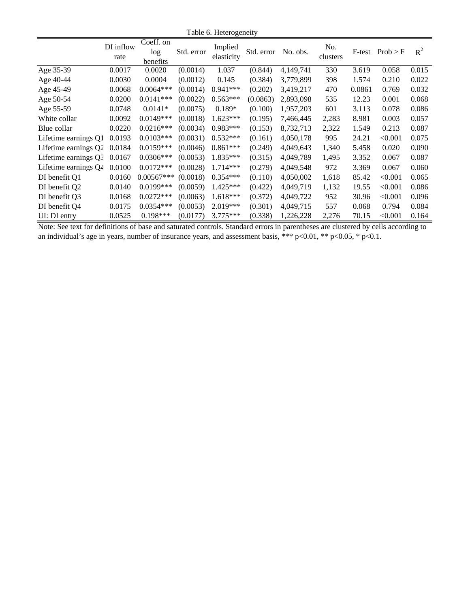|                      | DI inflow<br>rate | Coeff. on<br>log<br>benefits | Std. error | Implied<br>elasticity | Std. error | No. obs.  | No.<br>clusters | F-test | Prob > F | $R^2$ |
|----------------------|-------------------|------------------------------|------------|-----------------------|------------|-----------|-----------------|--------|----------|-------|
| Age 35-39            | 0.0017            | 0.0020                       | (0.0014)   | 1.037                 | (0.844)    | 4,149,741 | 330             | 3.619  | 0.058    | 0.015 |
| Age 40-44            | 0.0030            | 0.0004                       | (0.0012)   | 0.145                 | (0.384)    | 3,779,899 | 398             | 1.574  | 0.210    | 0.022 |
| Age 45-49            | 0.0068            | $0.0064***$                  | (0.0014)   | $0.941***$            | (0.202)    | 3,419,217 | 470             | 0.0861 | 0.769    | 0.032 |
| Age 50-54            | 0.0200            | $0.0141***$                  | (0.0022)   | $0.563***$            | (0.0863)   | 2,893,098 | 535             | 12.23  | 0.001    | 0.068 |
| Age 55-59            | 0.0748            | $0.0141*$                    | (0.0075)   | $0.189*$              | (0.100)    | 1,957,203 | 601             | 3.113  | 0.078    | 0.086 |
| White collar         | 0.0092            | $0.0149***$                  | (0.0018)   | $1.623***$            | (0.195)    | 7,466,445 | 2,283           | 8.981  | 0.003    | 0.057 |
| Blue collar          | 0.0220            | $0.0216***$                  | (0.0034)   | $0.983***$            | (0.153)    | 8,732,713 | 2,322           | 1.549  | 0.213    | 0.087 |
| Lifetime earnings Q1 | 0.0193            | $0.0103***$                  | (0.0031)   | $0.532***$            | (0.161)    | 4,050,178 | 995             | 24.21  | < 0.001  | 0.075 |
| Lifetime earnings Q2 | 0.0184            | $0.0159***$                  | (0.0046)   | $0.861***$            | (0.249)    | 4,049,643 | 1,340           | 5.458  | 0.020    | 0.090 |
| Lifetime earnings Q3 | 0.0167            | $0.0306***$                  | (0.0053)   | 1.835***              | (0.315)    | 4,049,789 | 1,495           | 3.352  | 0.067    | 0.087 |
| Lifetime earnings Q4 | 0.0100            | $0.0172***$                  | (0.0028)   | $1.714***$            | (0.279)    | 4,049,548 | 972             | 3.369  | 0.067    | 0.060 |
| DI benefit Q1        | 0.0160            | $0.00567***$                 | (0.0018)   | $0.354***$            | (0.110)    | 4,050,002 | 1,618           | 85.42  | < 0.001  | 0.065 |
| DI benefit Q2        | 0.0140            | $0.0199***$                  | (0.0059)   | $1.425***$            | (0.422)    | 4,049,719 | 1,132           | 19.55  | < 0.001  | 0.086 |
| DI benefit O3        | 0.0168            | $0.0272***$                  | (0.0063)   | $1.618***$            | (0.372)    | 4,049,722 | 952             | 30.96  | < 0.001  | 0.096 |
| DI benefit Q4        | 0.0175            | $0.0354***$                  | (0.0053)   | 2.019***              | (0.301)    | 4,049,715 | 557             | 0.068  | 0.794    | 0.084 |
| UI: DI entry         | 0.0525            | $0.198***$                   | (0.0177)   | $3.775***$            | (0.338)    | 1,226,228 | 2,276           | 70.15  | < 0.001  | 0.164 |

Note: See text for definitions of base and saturated controls. Standard errors in parentheses are clustered by cells according to an individual's age in years, number of insurance years, and assessment basis, \*\*\* p<0.01, \*\* p<0.05, \* p<0.1.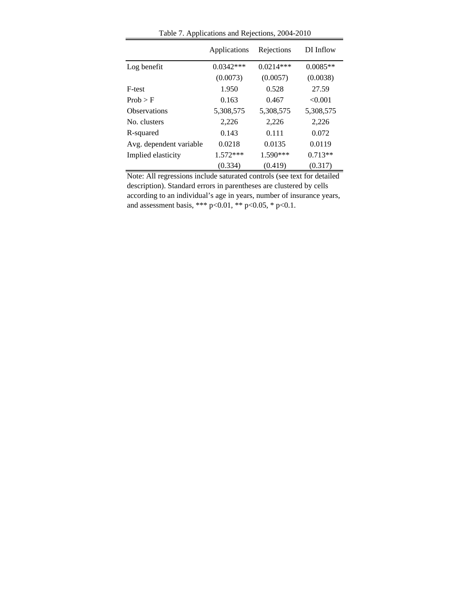|                         | Applications | Rejections  | DI Inflow  |
|-------------------------|--------------|-------------|------------|
| Log benefit             | $0.0342***$  | $0.0214***$ | $0.0085**$ |
|                         | (0.0073)     | (0.0057)    | (0.0038)   |
| F-test                  | 1.950        | 0.528       | 27.59      |
| Prob > F                | 0.163        | 0.467       | < 0.001    |
| Observations            | 5,308,575    | 5,308,575   | 5,308,575  |
| No. clusters            | 2,226        | 2.226       | 2,226      |
| R-squared               | 0.143        | 0.111       | 0.072      |
| Avg. dependent variable | 0.0218       | 0.0135      | 0.0119     |
| Implied elasticity      | 1.572***     | 1.590***    | $0.713**$  |
|                         | (0.334)      | (0.419)     | (0.317)    |

Table 7. Applications and Rejections, 2004-2010

Note: All regressions include saturated controls (see text for detailed description). Standard errors in parentheses are clustered by cells according to an individual's age in years, number of insurance years, and assessment basis, \*\*\* p<0.01, \*\* p<0.05, \* p<0.1.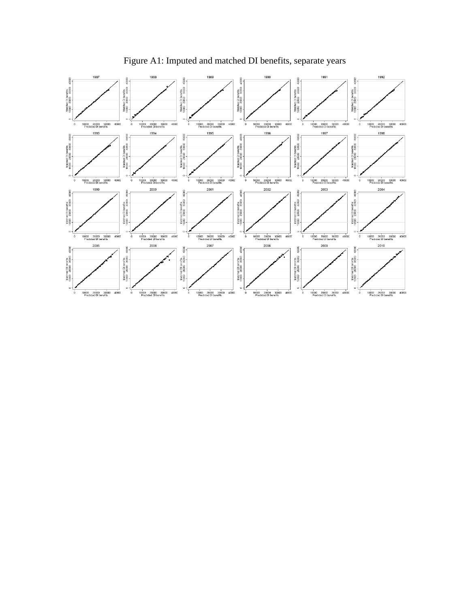

Figure A1: Imputed and matched DI benefits, separate years